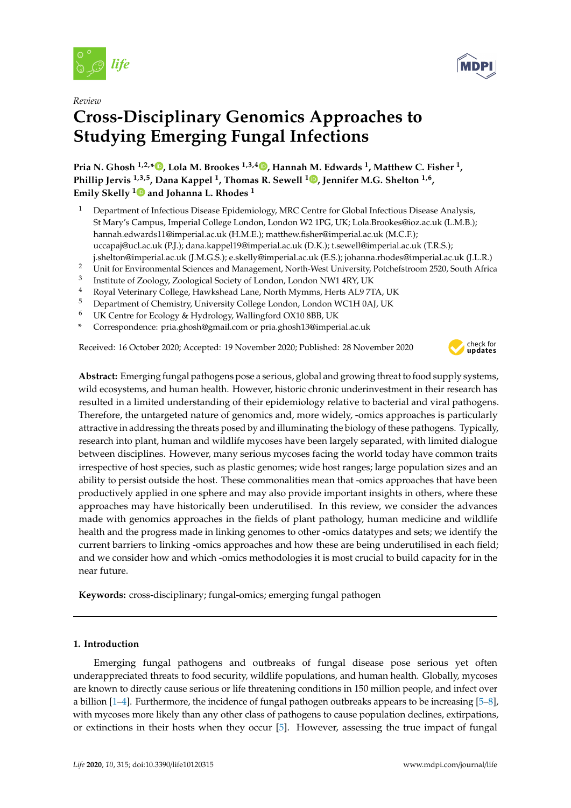

*Review*

# **Cross-Disciplinary Genomics Approaches to Studying Emerging Fungal Infections**

**Pria N. Ghosh 1,2,[\\*](https://orcid.org/0000-0002-9668-6662) , Lola M. Brookes 1,3,4 [,](https://orcid.org/0000-0001-5354-0244) Hannah M. Edwards <sup>1</sup> , Matthew C. Fisher <sup>1</sup> , Phillip Jervis 1,3,5, Dana Kappel <sup>1</sup> , Thomas R. Sewell [1](https://orcid.org/0000-0002-7239-4817) , Jennifer M.G. Shelton 1,6 , Emily Skelly [1](https://orcid.org/0000-0001-9337-4877) and Johanna L. Rhodes <sup>1</sup>**

- <sup>1</sup> Department of Infectious Disease Epidemiology, MRC Centre for Global Infectious Disease Analysis, St Mary's Campus, Imperial College London, London W2 1PG, UK; Lola.Brookes@ioz.ac.uk (L.M.B.); hannah.edwards11@imperial.ac.uk (H.M.E.); matthew.fisher@imperial.ac.uk (M.C.F.); uccapaj@ucl.ac.uk (P.J.); dana.kappel19@imperial.ac.uk (D.K.); t.sewell@imperial.ac.uk (T.R.S.); j.shelton@imperial.ac.uk (J.M.G.S.); e.skelly@imperial.ac.uk (E.S.); johanna.rhodes@imperial.ac.uk (J.L.R.)
- <sup>2</sup> Unit for Environmental Sciences and Management, North-West University, Potchefstroom 2520, South Africa
- 3 Institute of Zoology, Zoological Society of London, London NW1 4RY, UK
- <sup>4</sup> Royal Veterinary College, Hawkshead Lane, North Mymms, Herts AL9 7TA, UK
- <sup>5</sup> Department of Chemistry, University College London, London WC1H 0AJ, UK
- $6$  UK Centre for Ecology & Hydrology, Wallingford OX10 8BB, UK
- **\*** Correspondence: pria.ghosh@gmail.com or pria.ghosh13@imperial.ac.uk

Received: 16 October 2020; Accepted: 19 November 2020; Published: 28 November 2020



**Abstract:** Emerging fungal pathogens pose a serious, global and growing threat to food supply systems, wild ecosystems, and human health. However, historic chronic underinvestment in their research has resulted in a limited understanding of their epidemiology relative to bacterial and viral pathogens. Therefore, the untargeted nature of genomics and, more widely, -omics approaches is particularly attractive in addressing the threats posed by and illuminating the biology of these pathogens. Typically, research into plant, human and wildlife mycoses have been largely separated, with limited dialogue between disciplines. However, many serious mycoses facing the world today have common traits irrespective of host species, such as plastic genomes; wide host ranges; large population sizes and an ability to persist outside the host. These commonalities mean that -omics approaches that have been productively applied in one sphere and may also provide important insights in others, where these approaches may have historically been underutilised. In this review, we consider the advances made with genomics approaches in the fields of plant pathology, human medicine and wildlife health and the progress made in linking genomes to other -omics datatypes and sets; we identify the current barriers to linking -omics approaches and how these are being underutilised in each field; and we consider how and which -omics methodologies it is most crucial to build capacity for in the near future.

**Keywords:** cross-disciplinary; fungal-omics; emerging fungal pathogen

# **1. Introduction**

Emerging fungal pathogens and outbreaks of fungal disease pose serious yet often underappreciated threats to food security, wildlife populations, and human health. Globally, mycoses are known to directly cause serious or life threatening conditions in 150 million people, and infect over a billion [\[1](#page-9-0)[–4\]](#page-9-1). Furthermore, the incidence of fungal pathogen outbreaks appears to be increasing [\[5](#page-9-2)[–8\]](#page-9-3), with mycoses more likely than any other class of pathogens to cause population declines, extirpations, or extinctions in their hosts when they occur [\[5\]](#page-9-2). However, assessing the true impact of fungal

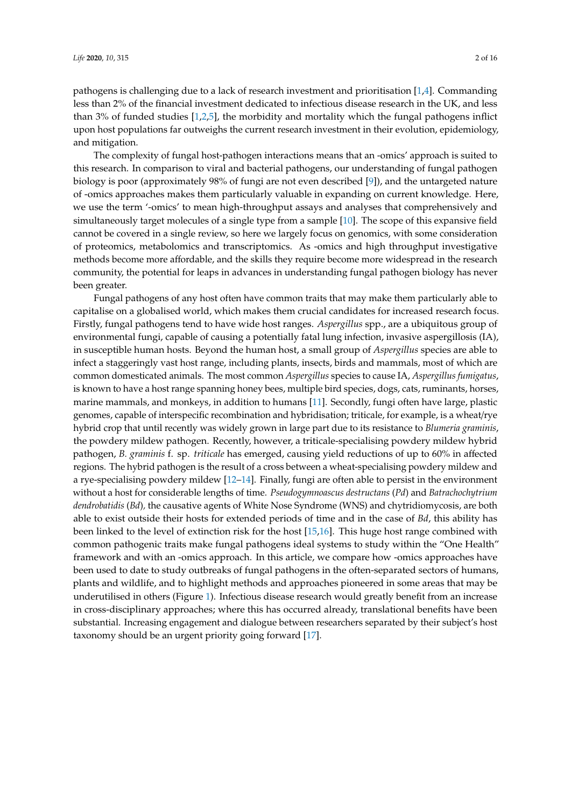pathogens is challenging due to a lack of research investment and prioritisation [\[1](#page-9-0)[,4\]](#page-9-1). Commanding less than 2% of the financial investment dedicated to infectious disease research in the UK, and less than 3% of funded studies [\[1](#page-9-0)[,2](#page-9-4)[,5\]](#page-9-2), the morbidity and mortality which the fungal pathogens inflict upon host populations far outweighs the current research investment in their evolution, epidemiology, and mitigation.

The complexity of fungal host-pathogen interactions means that an -omics' approach is suited to this research. In comparison to viral and bacterial pathogens, our understanding of fungal pathogen biology is poor (approximately 98% of fungi are not even described [\[9\]](#page-9-5)), and the untargeted nature of -omics approaches makes them particularly valuable in expanding on current knowledge. Here, we use the term '-omics' to mean high-throughput assays and analyses that comprehensively and simultaneously target molecules of a single type from a sample [\[10\]](#page-9-6). The scope of this expansive field cannot be covered in a single review, so here we largely focus on genomics, with some consideration of proteomics, metabolomics and transcriptomics. As -omics and high throughput investigative methods become more affordable, and the skills they require become more widespread in the research community, the potential for leaps in advances in understanding fungal pathogen biology has never been greater.

Fungal pathogens of any host often have common traits that may make them particularly able to capitalise on a globalised world, which makes them crucial candidates for increased research focus. Firstly, fungal pathogens tend to have wide host ranges. *Aspergillus* spp., are a ubiquitous group of environmental fungi, capable of causing a potentially fatal lung infection, invasive aspergillosis (IA), in susceptible human hosts. Beyond the human host, a small group of *Aspergillus* species are able to infect a staggeringly vast host range, including plants, insects, birds and mammals, most of which are common domesticated animals. The most common *Aspergillus* species to cause IA, *Aspergillus fumigatus*, is known to have a host range spanning honey bees, multiple bird species, dogs, cats, ruminants, horses, marine mammals, and monkeys, in addition to humans [\[11\]](#page-9-7). Secondly, fungi often have large, plastic genomes, capable of interspecific recombination and hybridisation; triticale, for example, is a wheat/rye hybrid crop that until recently was widely grown in large part due to its resistance to *Blumeria graminis*, the powdery mildew pathogen. Recently, however, a triticale-specialising powdery mildew hybrid pathogen, *B. graminis* f. sp. *triticale* has emerged, causing yield reductions of up to 60% in affected regions. The hybrid pathogen is the result of a cross between a wheat-specialising powdery mildew and a rye-specialising powdery mildew [\[12–](#page-9-8)[14\]](#page-9-9). Finally, fungi are often able to persist in the environment without a host for considerable lengths of time. *Pseudogymnoascus destructans* (*Pd*) and *Batrachochytrium dendrobatidis* (*Bd*)*,* the causative agents of White Nose Syndrome (WNS) and chytridiomycosis, are both able to exist outside their hosts for extended periods of time and in the case of *Bd*, this ability has been linked to the level of extinction risk for the host [\[15,](#page-9-10)[16\]](#page-9-11). This huge host range combined with common pathogenic traits make fungal pathogens ideal systems to study within the "One Health" framework and with an -omics approach. In this article, we compare how -omics approaches have been used to date to study outbreaks of fungal pathogens in the often-separated sectors of humans, plants and wildlife, and to highlight methods and approaches pioneered in some areas that may be underutilised in others (Figure [1\)](#page-2-0). Infectious disease research would greatly benefit from an increase in cross-disciplinary approaches; where this has occurred already, translational benefits have been substantial. Increasing engagement and dialogue between researchers separated by their subject's host taxonomy should be an urgent priority going forward [\[17\]](#page-10-0).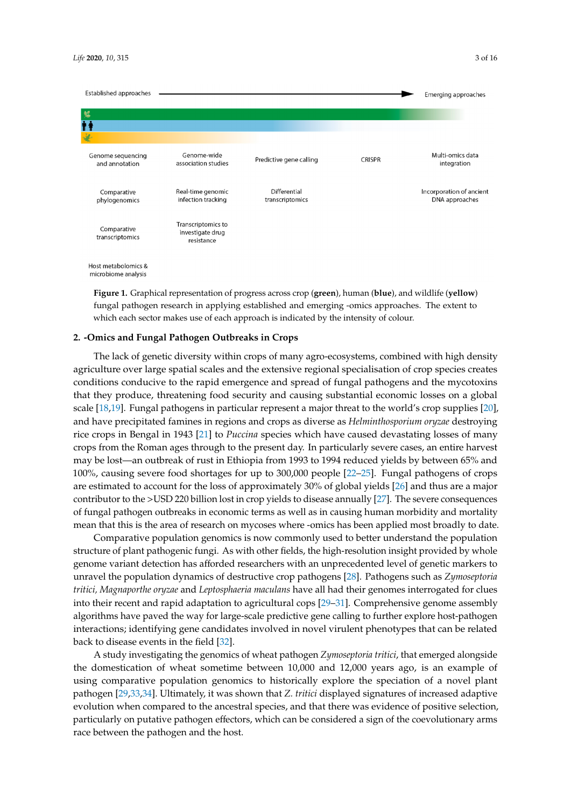<span id="page-2-0"></span>

Figure 1. Graphical representation of progress across crop (green), human (blue), and wildlife (yellow) fungal pathogen research in applying established and emerging -omics approaches. The extent to which each sector makes use of each approach is indicated by the intensity of colour.

#### **2. -Omics and Fungal Pathogen Outbreaks in Crops**

**2. -Omics and Fungal Pathogen Outbreaks in Crops**  agriculture over large spatial scales and the extensive regional specialisation of crop species creates conditions conducive to the rapid emergence and spread of fungal pathogens and the mycotoxins that they produce, threatening food security and causing substantial economic losses on a global scale [\[18,](#page-10-1)[19\]](#page-10-2). Fungal pathogens in particular represent a major threat to the world's crop supplies [\[20\]](#page-10-3), and have precipitated famines in regions and crops as diverse as *Helminthosporium oryzae* destroying rice crops in Bengal in 1943 [\[21\]](#page-10-4) to *Puccina* species which have caused devastating losses of many crops from the Roman ages through to the present day. In particularly severe cases*,* an entire harvest may be lost—an outbreak of rust in Ethiopia from 1993 to 1994 reduced yields by between 65% and 100%, causing severe food shortages for up to 300,000 people [\[22–](#page-10-5)[25\]](#page-10-6). Fungal pathogens of crops are estimated to account for the loss of approximately 30% of global yields [\[26\]](#page-10-7) and thus are a major contributor to the >USD 220 billion lost in crop yields to disease annually [\[27\]](#page-10-8). The severe consequences or rangar pathogen outbreaks in economic terms as wen as in classing numari inorphany and mortany<br>mean that this is the area of research on mycoses where -omics has been applied most broadly to date. The lack of genetic diversity within crops of many agro-ecosystems, combined with high density of fungal pathogen outbreaks in economic terms as well as in causing human morbidity and mortality

comparative population genomics is now commonly used to better understand the population Comparative population genomics is now commonly used to better understand the population structure of plant pathogenic fungi. As with other fields, the high-resolution insight provided by whole genome variant detection has afforded researchers with an unprecedented level of genetic markers to o<br>unravel the population dynamics of destructive crop pathogens [\[28\]](#page-10-9). Pathogens such as *Zymoseptoria* tritici, Magnaporthe oryzae and Leptosphaeria maculans have all had their genomes interrogated for clues into their recent and rapid adaptation to agricultural cops [29-[31\]](#page-10-11). Comprehensive genome assembly algorithms have paved the way for large-scale predictive gene calling to further explore host-pathogen interactions; identifying gene candidates involved in novel virulent phenotypes that can be related back to disease events in the field [32].

A study investigating the genomics of wheat pathogen *Zymoseptoria tritici*, that emerged alongside the domestication of wheat sometime between 10,000 and 12,000 years ago, is an example of using comparative population genomics to historically explore the speciation of a novel plant pathogen [\[29,](#page-10-10)[33,](#page-10-13)[34\]](#page-10-14). Ultimately, it was shown that *Z. tritici* displayed signatures of increased adaptive evolution when compared to the ancestral species, and that there was evidence of positive selection, particularly on putative pathogen effectors, which can be considered a sign of the coevolutionary arms race between the pathogen and the host.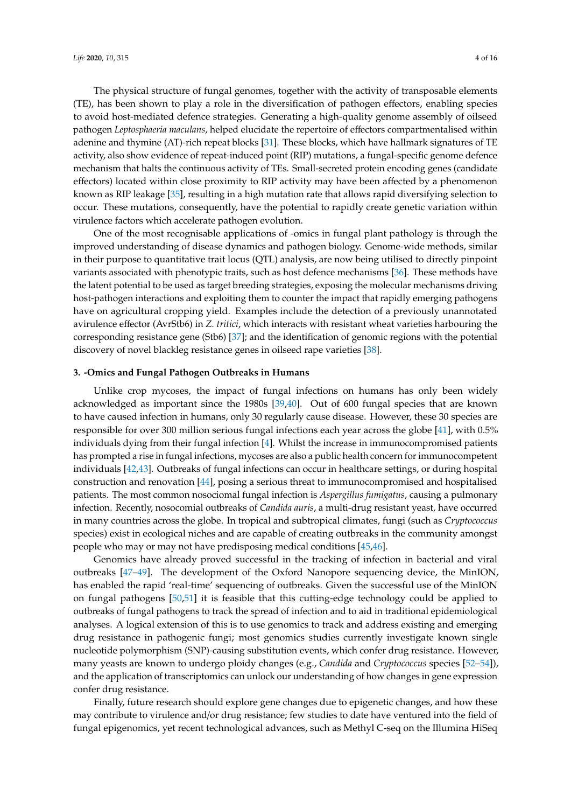The physical structure of fungal genomes, together with the activity of transposable elements (TE), has been shown to play a role in the diversification of pathogen effectors, enabling species to avoid host-mediated defence strategies. Generating a high-quality genome assembly of oilseed pathogen *Leptosphaeria maculans*, helped elucidate the repertoire of effectors compartmentalised within adenine and thymine (AT)-rich repeat blocks [\[31\]](#page-10-11). These blocks, which have hallmark signatures of TE activity, also show evidence of repeat-induced point (RIP) mutations, a fungal-specific genome defence mechanism that halts the continuous activity of TEs. Small-secreted protein encoding genes (candidate effectors) located within close proximity to RIP activity may have been affected by a phenomenon known as RIP leakage [\[35\]](#page-10-15), resulting in a high mutation rate that allows rapid diversifying selection to occur. These mutations, consequently, have the potential to rapidly create genetic variation within virulence factors which accelerate pathogen evolution.

One of the most recognisable applications of -omics in fungal plant pathology is through the improved understanding of disease dynamics and pathogen biology. Genome-wide methods, similar in their purpose to quantitative trait locus (QTL) analysis, are now being utilised to directly pinpoint variants associated with phenotypic traits, such as host defence mechanisms [\[36\]](#page-10-16). These methods have the latent potential to be used as target breeding strategies, exposing the molecular mechanisms driving host-pathogen interactions and exploiting them to counter the impact that rapidly emerging pathogens have on agricultural cropping yield. Examples include the detection of a previously unannotated avirulence effector (AvrStb6) in *Z. tritici*, which interacts with resistant wheat varieties harbouring the corresponding resistance gene (Stb6) [\[37\]](#page-10-17); and the identification of genomic regions with the potential discovery of novel blackleg resistance genes in oilseed rape varieties [\[38\]](#page-10-18).

#### **3. -Omics and Fungal Pathogen Outbreaks in Humans**

Unlike crop mycoses, the impact of fungal infections on humans has only been widely acknowledged as important since the 1980s [\[39](#page-11-0)[,40\]](#page-11-1). Out of 600 fungal species that are known to have caused infection in humans, only 30 regularly cause disease. However, these 30 species are responsible for over 300 million serious fungal infections each year across the globe [\[41\]](#page-11-2), with 0.5% individuals dying from their fungal infection [\[4\]](#page-9-1). Whilst the increase in immunocompromised patients has prompted a rise in fungal infections, mycoses are also a public health concern for immunocompetent individuals [\[42,](#page-11-3)[43\]](#page-11-4). Outbreaks of fungal infections can occur in healthcare settings, or during hospital construction and renovation [\[44\]](#page-11-5), posing a serious threat to immunocompromised and hospitalised patients. The most common nosociomal fungal infection is *Aspergillus fumigatus*, causing a pulmonary infection. Recently, nosocomial outbreaks of *Candida auris*, a multi-drug resistant yeast, have occurred in many countries across the globe. In tropical and subtropical climates, fungi (such as *Cryptococcus* species) exist in ecological niches and are capable of creating outbreaks in the community amongst people who may or may not have predisposing medical conditions [\[45,](#page-11-6)[46\]](#page-11-7).

Genomics have already proved successful in the tracking of infection in bacterial and viral outbreaks [\[47](#page-11-8)[–49\]](#page-11-9). The development of the Oxford Nanopore sequencing device, the MinION, has enabled the rapid 'real-time' sequencing of outbreaks. Given the successful use of the MinION on fungal pathogens [\[50,](#page-11-10)[51\]](#page-11-11) it is feasible that this cutting-edge technology could be applied to outbreaks of fungal pathogens to track the spread of infection and to aid in traditional epidemiological analyses. A logical extension of this is to use genomics to track and address existing and emerging drug resistance in pathogenic fungi; most genomics studies currently investigate known single nucleotide polymorphism (SNP)-causing substitution events, which confer drug resistance. However, many yeasts are known to undergo ploidy changes (e.g., *Candida* and *Cryptococcus* species [\[52–](#page-11-12)[54\]](#page-11-13)), and the application of transcriptomics can unlock our understanding of how changes in gene expression confer drug resistance.

Finally, future research should explore gene changes due to epigenetic changes, and how these may contribute to virulence and/or drug resistance; few studies to date have ventured into the field of fungal epigenomics, yet recent technological advances, such as Methyl C-seq on the Illumina HiSeq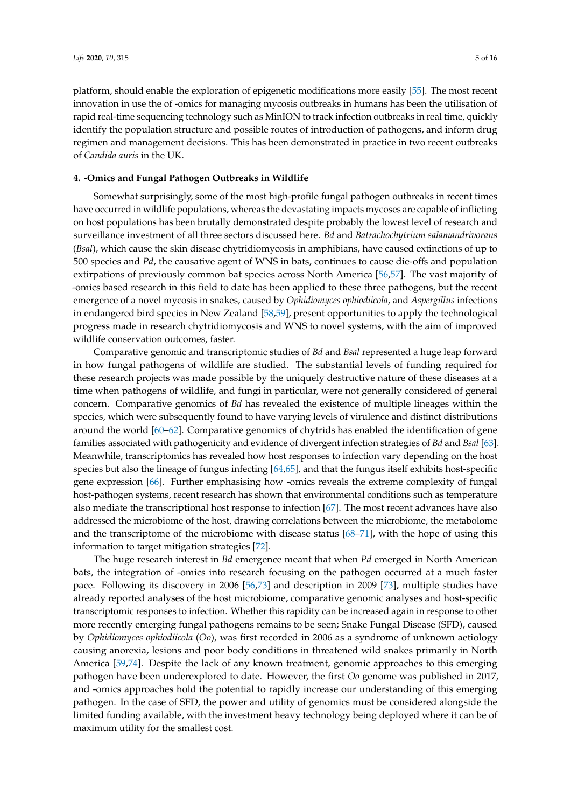platform, should enable the exploration of epigenetic modifications more easily [\[55\]](#page-11-14). The most recent innovation in use the of -omics for managing mycosis outbreaks in humans has been the utilisation of rapid real-time sequencing technology such as MinION to track infection outbreaks in real time, quickly identify the population structure and possible routes of introduction of pathogens, and inform drug regimen and management decisions. This has been demonstrated in practice in two recent outbreaks of *Candida auris* in the UK.

#### **4. -Omics and Fungal Pathogen Outbreaks in Wildlife**

Somewhat surprisingly, some of the most high-profile fungal pathogen outbreaks in recent times have occurred in wildlife populations, whereas the devastating impacts mycoses are capable of inflicting on host populations has been brutally demonstrated despite probably the lowest level of research and surveillance investment of all three sectors discussed here. *Bd* and *Batrachochytrium salamandrivorans* (*Bsal*), which cause the skin disease chytridiomycosis in amphibians, have caused extinctions of up to 500 species and *Pd*, the causative agent of WNS in bats, continues to cause die-offs and population extirpations of previously common bat species across North America [\[56](#page-11-15)[,57\]](#page-11-16). The vast majority of -omics based research in this field to date has been applied to these three pathogens, but the recent emergence of a novel mycosis in snakes, caused by *Ophidiomyces ophiodiicola*, and *Aspergillus* infections in endangered bird species in New Zealand [\[58](#page-11-17)[,59\]](#page-12-0), present opportunities to apply the technological progress made in research chytridiomycosis and WNS to novel systems, with the aim of improved wildlife conservation outcomes, faster.

Comparative genomic and transcriptomic studies of *Bd* and *Bsal* represented a huge leap forward in how fungal pathogens of wildlife are studied. The substantial levels of funding required for these research projects was made possible by the uniquely destructive nature of these diseases at a time when pathogens of wildlife, and fungi in particular, were not generally considered of general concern. Comparative genomics of *Bd* has revealed the existence of multiple lineages within the species, which were subsequently found to have varying levels of virulence and distinct distributions around the world [\[60](#page-12-1)[–62\]](#page-12-2). Comparative genomics of chytrids has enabled the identification of gene families associated with pathogenicity and evidence of divergent infection strategies of *Bd* and *Bsal* [\[63\]](#page-12-3). Meanwhile, transcriptomics has revealed how host responses to infection vary depending on the host species but also the lineage of fungus infecting [\[64](#page-12-4)[,65\]](#page-12-5), and that the fungus itself exhibits host-specific gene expression [\[66\]](#page-12-6). Further emphasising how -omics reveals the extreme complexity of fungal host-pathogen systems, recent research has shown that environmental conditions such as temperature also mediate the transcriptional host response to infection [\[67\]](#page-12-7). The most recent advances have also addressed the microbiome of the host, drawing correlations between the microbiome, the metabolome and the transcriptome of the microbiome with disease status  $[68-71]$  $[68-71]$ , with the hope of using this information to target mitigation strategies [\[72\]](#page-12-10).

The huge research interest in *Bd* emergence meant that when *Pd* emerged in North American bats, the integration of -omics into research focusing on the pathogen occurred at a much faster pace. Following its discovery in 2006 [\[56,](#page-11-15)[73\]](#page-12-11) and description in 2009 [\[73\]](#page-12-11), multiple studies have already reported analyses of the host microbiome, comparative genomic analyses and host-specific transcriptomic responses to infection. Whether this rapidity can be increased again in response to other more recently emerging fungal pathogens remains to be seen; Snake Fungal Disease (SFD), caused by *Ophidiomyces ophiodiicola* (*Oo*), was first recorded in 2006 as a syndrome of unknown aetiology causing anorexia, lesions and poor body conditions in threatened wild snakes primarily in North America [\[59,](#page-12-0)[74\]](#page-12-12). Despite the lack of any known treatment, genomic approaches to this emerging pathogen have been underexplored to date. However, the first *Oo* genome was published in 2017, and -omics approaches hold the potential to rapidly increase our understanding of this emerging pathogen. In the case of SFD, the power and utility of genomics must be considered alongside the limited funding available, with the investment heavy technology being deployed where it can be of maximum utility for the smallest cost.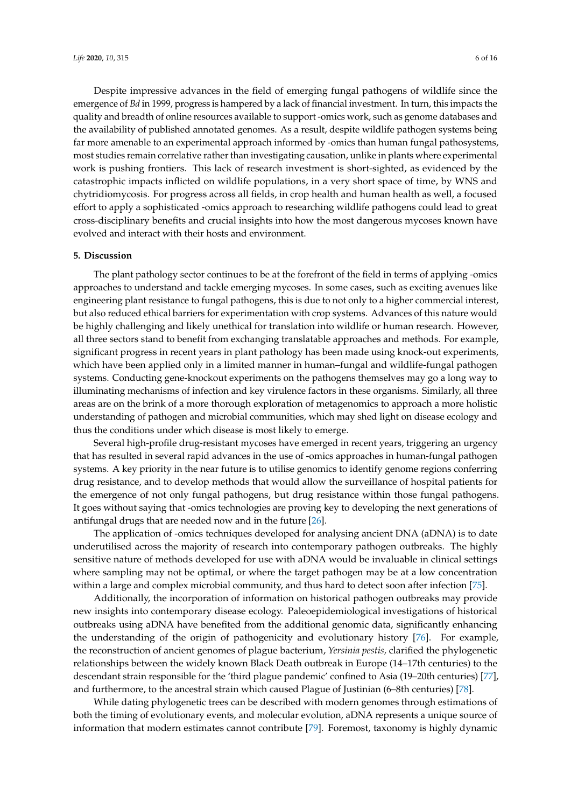Despite impressive advances in the field of emerging fungal pathogens of wildlife since the emergence of *Bd* in 1999, progress is hampered by a lack of financial investment. In turn, this impacts the quality and breadth of online resources available to support -omics work, such as genome databases and the availability of published annotated genomes. As a result, despite wildlife pathogen systems being far more amenable to an experimental approach informed by -omics than human fungal pathosystems, most studies remain correlative rather than investigating causation, unlike in plants where experimental work is pushing frontiers. This lack of research investment is short-sighted, as evidenced by the catastrophic impacts inflicted on wildlife populations, in a very short space of time, by WNS and chytridiomycosis. For progress across all fields, in crop health and human health as well, a focused effort to apply a sophisticated -omics approach to researching wildlife pathogens could lead to great cross-disciplinary benefits and crucial insights into how the most dangerous mycoses known have evolved and interact with their hosts and environment.

#### **5. Discussion**

The plant pathology sector continues to be at the forefront of the field in terms of applying -omics approaches to understand and tackle emerging mycoses. In some cases, such as exciting avenues like engineering plant resistance to fungal pathogens, this is due to not only to a higher commercial interest, but also reduced ethical barriers for experimentation with crop systems. Advances of this nature would be highly challenging and likely unethical for translation into wildlife or human research. However, all three sectors stand to benefit from exchanging translatable approaches and methods. For example, significant progress in recent years in plant pathology has been made using knock-out experiments, which have been applied only in a limited manner in human–fungal and wildlife-fungal pathogen systems. Conducting gene-knockout experiments on the pathogens themselves may go a long way to illuminating mechanisms of infection and key virulence factors in these organisms. Similarly, all three areas are on the brink of a more thorough exploration of metagenomics to approach a more holistic understanding of pathogen and microbial communities, which may shed light on disease ecology and thus the conditions under which disease is most likely to emerge.

Several high-profile drug-resistant mycoses have emerged in recent years, triggering an urgency that has resulted in several rapid advances in the use of -omics approaches in human-fungal pathogen systems. A key priority in the near future is to utilise genomics to identify genome regions conferring drug resistance, and to develop methods that would allow the surveillance of hospital patients for the emergence of not only fungal pathogens, but drug resistance within those fungal pathogens. It goes without saying that -omics technologies are proving key to developing the next generations of antifungal drugs that are needed now and in the future [\[26\]](#page-10-7).

The application of -omics techniques developed for analysing ancient DNA (aDNA) is to date underutilised across the majority of research into contemporary pathogen outbreaks. The highly sensitive nature of methods developed for use with aDNA would be invaluable in clinical settings where sampling may not be optimal, or where the target pathogen may be at a low concentration within a large and complex microbial community, and thus hard to detect soon after infection [\[75\]](#page-12-13).

Additionally, the incorporation of information on historical pathogen outbreaks may provide new insights into contemporary disease ecology. Paleoepidemiological investigations of historical outbreaks using aDNA have benefited from the additional genomic data, significantly enhancing the understanding of the origin of pathogenicity and evolutionary history [\[76\]](#page-13-0). For example, the reconstruction of ancient genomes of plague bacterium, *Yersinia pestis,* clarified the phylogenetic relationships between the widely known Black Death outbreak in Europe (14–17th centuries) to the descendant strain responsible for the 'third plague pandemic' confined to Asia (19–20th centuries) [\[77\]](#page-13-1), and furthermore, to the ancestral strain which caused Plague of Justinian (6–8th centuries) [\[78\]](#page-13-2).

While dating phylogenetic trees can be described with modern genomes through estimations of both the timing of evolutionary events, and molecular evolution, aDNA represents a unique source of information that modern estimates cannot contribute [\[79\]](#page-13-3). Foremost, taxonomy is highly dynamic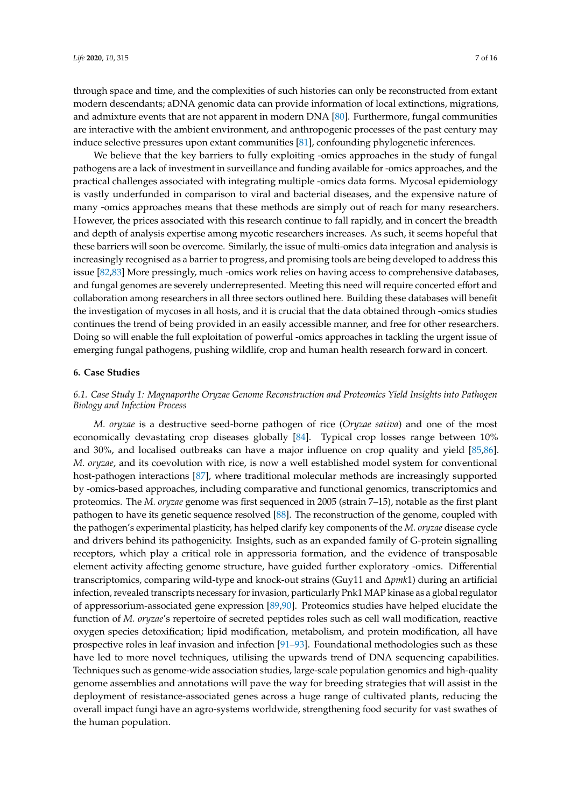through space and time, and the complexities of such histories can only be reconstructed from extant modern descendants; aDNA genomic data can provide information of local extinctions, migrations, and admixture events that are not apparent in modern DNA [\[80\]](#page-13-4). Furthermore, fungal communities are interactive with the ambient environment, and anthropogenic processes of the past century may induce selective pressures upon extant communities [\[81\]](#page-13-5), confounding phylogenetic inferences.

We believe that the key barriers to fully exploiting -omics approaches in the study of fungal pathogens are a lack of investment in surveillance and funding available for -omics approaches, and the practical challenges associated with integrating multiple -omics data forms. Mycosal epidemiology is vastly underfunded in comparison to viral and bacterial diseases, and the expensive nature of many -omics approaches means that these methods are simply out of reach for many researchers. However, the prices associated with this research continue to fall rapidly, and in concert the breadth and depth of analysis expertise among mycotic researchers increases. As such, it seems hopeful that these barriers will soon be overcome. Similarly, the issue of multi-omics data integration and analysis is increasingly recognised as a barrier to progress, and promising tools are being developed to address this issue [\[82](#page-13-6)[,83\]](#page-13-7) More pressingly, much -omics work relies on having access to comprehensive databases, and fungal genomes are severely underrepresented. Meeting this need will require concerted effort and collaboration among researchers in all three sectors outlined here. Building these databases will benefit the investigation of mycoses in all hosts, and it is crucial that the data obtained through -omics studies continues the trend of being provided in an easily accessible manner, and free for other researchers. Doing so will enable the full exploitation of powerful -omics approaches in tackling the urgent issue of emerging fungal pathogens, pushing wildlife, crop and human health research forward in concert.

## **6. Case Studies**

## *6.1. Case Study 1: Magnaporthe Oryzae Genome Reconstruction and Proteomics Yield Insights into Pathogen Biology and Infection Process*

*M. oryzae* is a destructive seed-borne pathogen of rice (*Oryzae sativa*) and one of the most economically devastating crop diseases globally [\[84\]](#page-13-8). Typical crop losses range between 10% and 30%, and localised outbreaks can have a major influence on crop quality and yield [\[85,](#page-13-9)[86\]](#page-13-10). *M. oryzae*, and its coevolution with rice, is now a well established model system for conventional host-pathogen interactions [\[87\]](#page-13-11), where traditional molecular methods are increasingly supported by -omics-based approaches, including comparative and functional genomics, transcriptomics and proteomics. The *M. oryzae* genome was first sequenced in 2005 (strain 7–15), notable as the first plant pathogen to have its genetic sequence resolved [\[88\]](#page-13-12). The reconstruction of the genome, coupled with the pathogen's experimental plasticity, has helped clarify key components of the *M. oryzae* disease cycle and drivers behind its pathogenicity. Insights, such as an expanded family of G-protein signalling receptors, which play a critical role in appressoria formation, and the evidence of transposable element activity affecting genome structure, have guided further exploratory -omics. Differential transcriptomics, comparing wild-type and knock-out strains (Guy11 and ∆*pmk*1) during an artificial infection, revealed transcripts necessary for invasion, particularly Pnk1 MAP kinase as a global regulator of appressorium-associated gene expression [\[89](#page-13-13)[,90\]](#page-13-14). Proteomics studies have helped elucidate the function of *M. oryzae*'s repertoire of secreted peptides roles such as cell wall modification, reactive oxygen species detoxification; lipid modification, metabolism, and protein modification, all have prospective roles in leaf invasion and infection [\[91](#page-13-15)[–93\]](#page-13-16). Foundational methodologies such as these have led to more novel techniques, utilising the upwards trend of DNA sequencing capabilities. Techniques such as genome-wide association studies, large-scale population genomics and high-quality genome assemblies and annotations will pave the way for breeding strategies that will assist in the deployment of resistance-associated genes across a huge range of cultivated plants, reducing the overall impact fungi have an agro-systems worldwide, strengthening food security for vast swathes of the human population.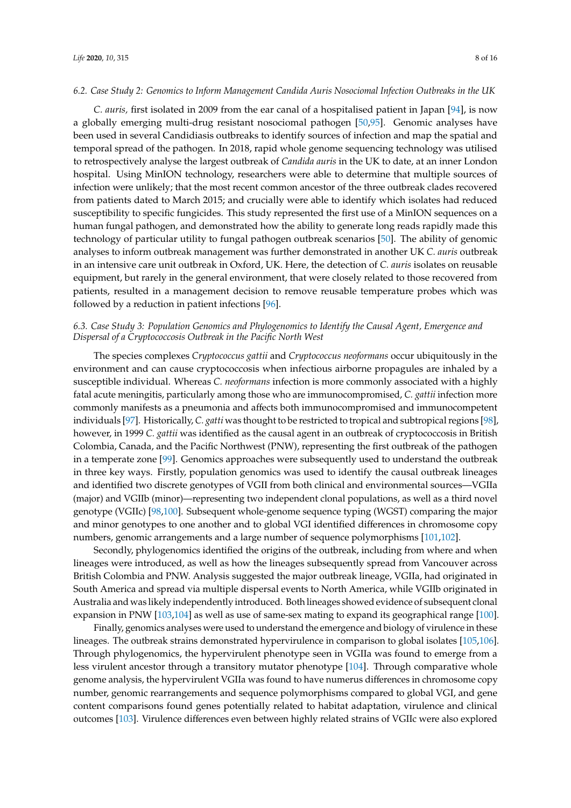#### *6.2. Case Study 2: Genomics to Inform Management Candida Auris Nosociomal Infection Outbreaks in the UK*

*C. auris,* first isolated in 2009 from the ear canal of a hospitalised patient in Japan [\[94\]](#page-13-17), is now a globally emerging multi-drug resistant nosociomal pathogen [\[50](#page-11-10)[,95\]](#page-13-18). Genomic analyses have been used in several Candidiasis outbreaks to identify sources of infection and map the spatial and temporal spread of the pathogen. In 2018, rapid whole genome sequencing technology was utilised to retrospectively analyse the largest outbreak of *Candida auris* in the UK to date, at an inner London hospital. Using MinION technology, researchers were able to determine that multiple sources of infection were unlikely; that the most recent common ancestor of the three outbreak clades recovered from patients dated to March 2015; and crucially were able to identify which isolates had reduced susceptibility to specific fungicides. This study represented the first use of a MinION sequences on a human fungal pathogen, and demonstrated how the ability to generate long reads rapidly made this technology of particular utility to fungal pathogen outbreak scenarios [\[50\]](#page-11-10). The ability of genomic analyses to inform outbreak management was further demonstrated in another UK *C. auris* outbreak in an intensive care unit outbreak in Oxford, UK. Here, the detection of *C. auris* isolates on reusable equipment, but rarely in the general environment, that were closely related to those recovered from patients, resulted in a management decision to remove reusable temperature probes which was followed by a reduction in patient infections [\[96\]](#page-13-19).

# *6.3. Case Study 3: Population Genomics and Phylogenomics to Identify the Causal Agent, Emergence and Dispersal of a Cryptococcosis Outbreak in the Pacific North West*

The species complexes *Cryptococcus gattii* and *Cryptococcus neoformans* occur ubiquitously in the environment and can cause cryptococcosis when infectious airborne propagules are inhaled by a susceptible individual. Whereas *C. neoformans* infection is more commonly associated with a highly fatal acute meningitis, particularly among those who are immunocompromised, *C. gattii* infection more commonly manifests as a pneumonia and affects both immunocompromised and immunocompetent individuals [\[97\]](#page-14-0). Historically, *C. gatti* was thought to be restricted to tropical and subtropical regions [\[98\]](#page-14-1), however, in 1999 *C. gattii* was identified as the causal agent in an outbreak of cryptococcosis in British Colombia, Canada, and the Pacific Northwest (PNW), representing the first outbreak of the pathogen in a temperate zone [\[99\]](#page-14-2). Genomics approaches were subsequently used to understand the outbreak in three key ways. Firstly, population genomics was used to identify the causal outbreak lineages and identified two discrete genotypes of VGII from both clinical and environmental sources—VGIIa (major) and VGIIb (minor)—representing two independent clonal populations, as well as a third novel genotype (VGIIc) [\[98](#page-14-1)[,100\]](#page-14-3). Subsequent whole-genome sequence typing (WGST) comparing the major and minor genotypes to one another and to global VGI identified differences in chromosome copy numbers, genomic arrangements and a large number of sequence polymorphisms [\[101](#page-14-4)[,102\]](#page-14-5).

Secondly, phylogenomics identified the origins of the outbreak, including from where and when lineages were introduced, as well as how the lineages subsequently spread from Vancouver across British Colombia and PNW. Analysis suggested the major outbreak lineage, VGIIa, had originated in South America and spread via multiple dispersal events to North America, while VGIIb originated in Australia and was likely independently introduced. Both lineages showed evidence of subsequent clonal expansion in PNW [\[103,](#page-14-6)[104\]](#page-14-7) as well as use of same-sex mating to expand its geographical range [\[100\]](#page-14-3).

Finally, genomics analyses were used to understand the emergence and biology of virulence in these lineages. The outbreak strains demonstrated hypervirulence in comparison to global isolates [\[105](#page-14-8)[,106\]](#page-14-9). Through phylogenomics, the hypervirulent phenotype seen in VGIIa was found to emerge from a less virulent ancestor through a transitory mutator phenotype [\[104\]](#page-14-7). Through comparative whole genome analysis, the hypervirulent VGIIa was found to have numerus differences in chromosome copy number, genomic rearrangements and sequence polymorphisms compared to global VGI, and gene content comparisons found genes potentially related to habitat adaptation, virulence and clinical outcomes [\[103\]](#page-14-6). Virulence differences even between highly related strains of VGIIc were also explored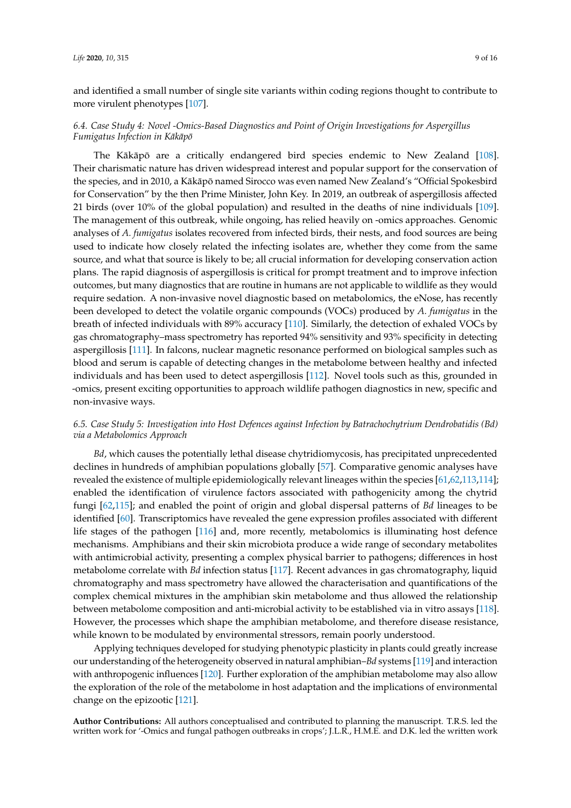and identified a small number of single site variants within coding regions thought to contribute to more virulent phenotypes [\[107\]](#page-14-10).

## *6.4. Case Study 4: Novel -Omics-Based Diagnostics and Point of Origin Investigations for Aspergillus Fumigatus Infection in Kākāpō*

The Kākāpō are a critically endangered bird species endemic to New Zealand [[108\]](#page-14-11). Their charismatic nature has driven widespread interest and popular support for the conservation of the species, and in 2010, a Kākāpō named Sirocco was even named New Zealand's "Official Spokesbird for Conservation" by the then Prime Minister, John Key. In 2019, an outbreak of aspergillosis affected 21 birds (over 10% of the global population) and resulted in the deaths of nine individuals [\[109\]](#page-14-12). The management of this outbreak, while ongoing, has relied heavily on -omics approaches. Genomic analyses of *A. fumigatus* isolates recovered from infected birds, their nests, and food sources are being used to indicate how closely related the infecting isolates are, whether they come from the same source, and what that source is likely to be; all crucial information for developing conservation action plans. The rapid diagnosis of aspergillosis is critical for prompt treatment and to improve infection outcomes, but many diagnostics that are routine in humans are not applicable to wildlife as they would require sedation. A non-invasive novel diagnostic based on metabolomics, the eNose, has recently been developed to detect the volatile organic compounds (VOCs) produced by *A. fumigatus* in the breath of infected individuals with 89% accuracy [\[110\]](#page-14-13). Similarly, the detection of exhaled VOCs by gas chromatography–mass spectrometry has reported 94% sensitivity and 93% specificity in detecting aspergillosis [\[111\]](#page-14-14). In falcons, nuclear magnetic resonance performed on biological samples such as blood and serum is capable of detecting changes in the metabolome between healthy and infected individuals and has been used to detect aspergillosis [\[112\]](#page-14-15). Novel tools such as this, grounded in -omics, present exciting opportunities to approach wildlife pathogen diagnostics in new, specific and non-invasive ways.

## *6.5. Case Study 5: Investigation into Host Defences against Infection by Batrachochytrium Dendrobatidis (Bd) via a Metabolomics Approach*

*Bd*, which causes the potentially lethal disease chytridiomycosis, has precipitated unprecedented declines in hundreds of amphibian populations globally [\[57\]](#page-11-16). Comparative genomic analyses have revealed the existence of multiple epidemiologically relevant lineages within the species [\[61,](#page-12-14)[62,](#page-12-2)[113](#page-14-16)[,114\]](#page-14-17); enabled the identification of virulence factors associated with pathogenicity among the chytrid fungi [\[62](#page-12-2)[,115\]](#page-15-0); and enabled the point of origin and global dispersal patterns of *Bd* lineages to be identified [\[60\]](#page-12-1). Transcriptomics have revealed the gene expression profiles associated with different life stages of the pathogen [\[116\]](#page-15-1) and, more recently, metabolomics is illuminating host defence mechanisms. Amphibians and their skin microbiota produce a wide range of secondary metabolites with antimicrobial activity, presenting a complex physical barrier to pathogens; differences in host metabolome correlate with *Bd* infection status [\[117\]](#page-15-2). Recent advances in gas chromatography, liquid chromatography and mass spectrometry have allowed the characterisation and quantifications of the complex chemical mixtures in the amphibian skin metabolome and thus allowed the relationship between metabolome composition and anti-microbial activity to be established via in vitro assays [\[118\]](#page-15-3). However, the processes which shape the amphibian metabolome, and therefore disease resistance, while known to be modulated by environmental stressors, remain poorly understood.

Applying techniques developed for studying phenotypic plasticity in plants could greatly increase our understanding of the heterogeneity observed in natural amphibian–*Bd* systems [\[119\]](#page-15-4) and interaction with anthropogenic influences [\[120\]](#page-15-5). Further exploration of the amphibian metabolome may also allow the exploration of the role of the metabolome in host adaptation and the implications of environmental change on the epizootic [\[121\]](#page-15-6).

**Author Contributions:** All authors conceptualised and contributed to planning the manuscript. T.R.S. led the written work for '-Omics and fungal pathogen outbreaks in crops'; J.L.R., H.M.E. and D.K. led the written work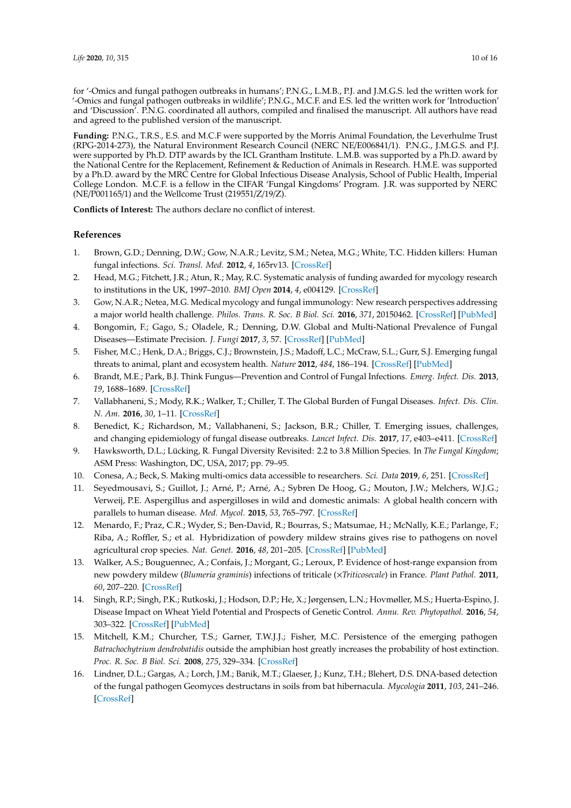for '-Omics and fungal pathogen outbreaks in humans'; P.N.G., L.M.B., P.J. and J.M.G.S. led the written work for '-Omics and fungal pathogen outbreaks in wildlife'; P.N.G., M.C.F. and E.S. led the written work for 'Introduction' and 'Discussion'. P.N.G. coordinated all authors, compiled and finalised the manuscript. All authors have read and agreed to the published version of the manuscript.

**Funding:** P.N.G., T.R.S., E.S. and M.C.F were supported by the Morris Animal Foundation, the Leverhulme Trust (RPG-2014-273), the Natural Environment Research Council (NERC NE/E006841/1). P.N.G., J.M.G.S. and P.J. were supported by Ph.D. DTP awards by the ICL Grantham Institute. L.M.B. was supported by a Ph.D. award by the National Centre for the Replacement, Refinement & Reduction of Animals in Research. H.M.E. was supported by a Ph.D. award by the MRC Centre for Global Infectious Disease Analysis, School of Public Health, Imperial College London. M.C.F. is a fellow in the CIFAR 'Fungal Kingdoms' Program. J.R. was supported by NERC (NE/P001165/1) and the Wellcome Trust (219551/Z/19/Z).

**Conflicts of Interest:** The authors declare no conflict of interest.

## **References**

- <span id="page-9-0"></span>1. Brown, G.D.; Denning, D.W.; Gow, N.A.R.; Levitz, S.M.; Netea, M.G.; White, T.C. Hidden killers: Human fungal infections. *Sci. Transl. Med.* **2012**, *4*, 165rv13. [\[CrossRef\]](http://dx.doi.org/10.1126/scitranslmed.3004404)
- <span id="page-9-4"></span>2. Head, M.G.; Fitchett, J.R.; Atun, R.; May, R.C. Systematic analysis of funding awarded for mycology research to institutions in the UK, 1997–2010. *BMJ Open* **2014**, *4*, e004129. [\[CrossRef\]](http://dx.doi.org/10.1136/bmjopen-2013-004129)
- 3. Gow, N.A.R.; Netea, M.G. Medical mycology and fungal immunology: New research perspectives addressing a major world health challenge. *Philos. Trans. R. Soc. B Biol. Sci.* **2016**, *371*, 20150462. [\[CrossRef\]](http://dx.doi.org/10.1098/rstb.2015.0462) [\[PubMed\]](http://www.ncbi.nlm.nih.gov/pubmed/28080988)
- <span id="page-9-1"></span>4. Bongomin, F.; Gago, S.; Oladele, R.; Denning, D.W. Global and Multi-National Prevalence of Fungal Diseases—Estimate Precision. *J. Fungi* **2017**, *3*, 57. [\[CrossRef\]](http://dx.doi.org/10.3390/jof3040057) [\[PubMed\]](http://www.ncbi.nlm.nih.gov/pubmed/29371573)
- <span id="page-9-2"></span>5. Fisher, M.C.; Henk, D.A.; Briggs, C.J.; Brownstein, J.S.; Madoff, L.C.; McCraw, S.L.; Gurr, S.J. Emerging fungal threats to animal, plant and ecosystem health. *Nature* **2012**, *484*, 186–194. [\[CrossRef\]](http://dx.doi.org/10.1038/nature10947) [\[PubMed\]](http://www.ncbi.nlm.nih.gov/pubmed/22498624)
- 6. Brandt, M.E.; Park, B.J. Think Fungus—Prevention and Control of Fungal Infections. *Emerg. Infect. Dis.* **2013**, *19*, 1688–1689. [\[CrossRef\]](http://dx.doi.org/10.3201/eid1910.131092)
- 7. Vallabhaneni, S.; Mody, R.K.; Walker, T.; Chiller, T. The Global Burden of Fungal Diseases. *Infect. Dis. Clin. N. Am.* **2016**, *30*, 1–11. [\[CrossRef\]](http://dx.doi.org/10.1016/j.idc.2015.10.004)
- <span id="page-9-3"></span>8. Benedict, K.; Richardson, M.; Vallabhaneni, S.; Jackson, B.R.; Chiller, T. Emerging issues, challenges, and changing epidemiology of fungal disease outbreaks. *Lancet Infect. Dis.* **2017**, *17*, e403–e411. [\[CrossRef\]](http://dx.doi.org/10.1016/S1473-3099(17)30443-7)
- <span id="page-9-5"></span>9. Hawksworth, D.L.; Lücking, R. Fungal Diversity Revisited: 2.2 to 3.8 Million Species. In *The Fungal Kingdom*; ASM Press: Washington, DC, USA, 2017; pp. 79–95.
- <span id="page-9-6"></span>10. Conesa, A.; Beck, S. Making multi-omics data accessible to researchers. *Sci. Data* **2019**, *6*, 251. [\[CrossRef\]](http://dx.doi.org/10.1038/s41597-019-0258-4)
- <span id="page-9-7"></span>11. Seyedmousavi, S.; Guillot, J.; Arné, P.; Arné, A.; Sybren De Hoog, G.; Mouton, J.W.; Melchers, W.J.G.; Verweij, P.E. Aspergillus and aspergilloses in wild and domestic animals: A global health concern with parallels to human disease. *Med. Mycol.* **2015**, *53*, 765–797. [\[CrossRef\]](http://dx.doi.org/10.1093/mmy/myv067)
- <span id="page-9-8"></span>12. Menardo, F.; Praz, C.R.; Wyder, S.; Ben-David, R.; Bourras, S.; Matsumae, H.; McNally, K.E.; Parlange, F.; Riba, A.; Roffler, S.; et al. Hybridization of powdery mildew strains gives rise to pathogens on novel agricultural crop species. *Nat. Genet.* **2016**, *48*, 201–205. [\[CrossRef\]](http://dx.doi.org/10.1038/ng.3485) [\[PubMed\]](http://www.ncbi.nlm.nih.gov/pubmed/26752267)
- 13. Walker, A.S.; Bouguennec, A.; Confais, J.; Morgant, G.; Leroux, P. Evidence of host-range expansion from new powdery mildew (*Blumeria graminis*) infections of triticale (×*Triticosecale*) in France. *Plant Pathol.* **2011**, *60*, 207–220. [\[CrossRef\]](http://dx.doi.org/10.1111/j.1365-3059.2010.02379.x)
- <span id="page-9-9"></span>14. Singh, R.P.; Singh, P.K.; Rutkoski, J.; Hodson, D.P.; He, X.; Jørgensen, L.N.; Hovmøller, M.S.; Huerta-Espino, J. Disease Impact on Wheat Yield Potential and Prospects of Genetic Control. *Annu. Rev. Phytopathol.* **2016**, *54*, 303–322. [\[CrossRef\]](http://dx.doi.org/10.1146/annurev-phyto-080615-095835) [\[PubMed\]](http://www.ncbi.nlm.nih.gov/pubmed/27296137)
- <span id="page-9-10"></span>15. Mitchell, K.M.; Churcher, T.S.; Garner, T.W.J.J.; Fisher, M.C. Persistence of the emerging pathogen *Batrachochytrium dendrobatidis* outside the amphibian host greatly increases the probability of host extinction. *Proc. R. Soc. B Biol. Sci.* **2008**, *275*, 329–334. [\[CrossRef\]](http://dx.doi.org/10.1098/rspb.2007.1356)
- <span id="page-9-11"></span>16. Lindner, D.L.; Gargas, A.; Lorch, J.M.; Banik, M.T.; Glaeser, J.; Kunz, T.H.; Blehert, D.S. DNA-based detection of the fungal pathogen Geomyces destructans in soils from bat hibernacula. *Mycologia* **2011**, *103*, 241–246. [\[CrossRef\]](http://dx.doi.org/10.3852/10-262)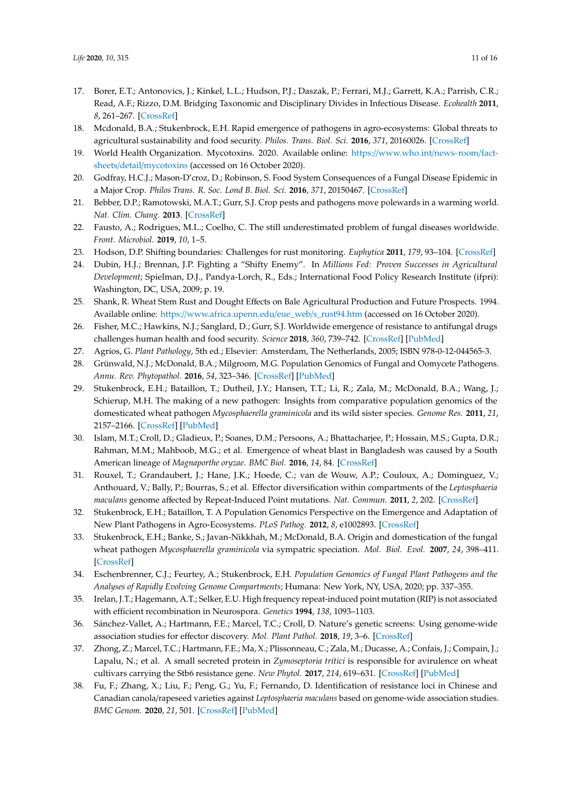- <span id="page-10-0"></span>17. Borer, E.T.; Antonovics, J.; Kinkel, L.L.; Hudson, P.J.; Daszak, P.; Ferrari, M.J.; Garrett, K.A.; Parrish, C.R.; Read, A.F.; Rizzo, D.M. Bridging Taxonomic and Disciplinary Divides in Infectious Disease. *Ecohealth* **2011**, *8*, 261–267. [\[CrossRef\]](http://dx.doi.org/10.1007/s10393-011-0718-6)
- <span id="page-10-1"></span>18. Mcdonald, B.A.; Stukenbrock, E.H. Rapid emergence of pathogens in agro-ecosystems: Global threats to agricultural sustainability and food security. *Philos. Trans. Biol. Sci.* **2016**, *371*, 20160026. [\[CrossRef\]](http://dx.doi.org/10.1098/rstb.2016.0026)
- <span id="page-10-2"></span>19. World Health Organization. Mycotoxins. 2020. Available online: https://[www.who.int](https://www.who.int/news-room/fact-sheets/detail/mycotoxins)/news-room/factsheets/detail/[mycotoxins](https://www.who.int/news-room/fact-sheets/detail/mycotoxins) (accessed on 16 October 2020).
- <span id="page-10-3"></span>20. Godfray, H.C.J.; Mason-D'croz, D.; Robinson, S. Food System Consequences of a Fungal Disease Epidemic in a Major Crop. *Philos Trans. R. Soc. Lond B. Biol. Sci.* **2016**, *371*, 20150467. [\[CrossRef\]](http://dx.doi.org/10.1098/rstb.2015.0467)
- <span id="page-10-4"></span>21. Bebber, D.P.; Ramotowski, M.A.T.; Gurr, S.J. Crop pests and pathogens move polewards in a warming world. *Nat. Clim. Chang.* **2013**. [\[CrossRef\]](http://dx.doi.org/10.1038/nclimate1990)
- <span id="page-10-5"></span>22. Fausto, A.; Rodrigues, M.L.; Coelho, C. The still underestimated problem of fungal diseases worldwide. *Front. Microbiol.* **2019**, *10*, 1–5.
- 23. Hodson, D.P. Shifting boundaries: Challenges for rust monitoring. *Euphytica* **2011**, *179*, 93–104. [\[CrossRef\]](http://dx.doi.org/10.1007/s10681-010-0335-4)
- 24. Dubin, H.J.; Brennan, J.P. Fighting a "Shifty Enemy". In *Millions Fed: Proven Successes in Agricultural Development*; Spielman, D.J., Pandya-Lorch, R., Eds.; International Food Policy Research Institute (ifpri): Washington, DC, USA, 2009; p. 19.
- <span id="page-10-6"></span>25. Shank, R. Wheat Stem Rust and Dought Effects on Bale Agricultural Production and Future Prospects. 1994. Available online: https://[www.africa.upenn.edu](https://www.africa.upenn.edu/eue_web/s_rust94.htm)/eue\_web/s\_rust94.htm (accessed on 16 October 2020).
- <span id="page-10-7"></span>26. Fisher, M.C.; Hawkins, N.J.; Sanglard, D.; Gurr, S.J. Worldwide emergence of resistance to antifungal drugs challenges human health and food security. *Science* **2018**, *360*, 739–742. [\[CrossRef\]](http://dx.doi.org/10.1126/science.aap7999) [\[PubMed\]](http://www.ncbi.nlm.nih.gov/pubmed/29773744)
- <span id="page-10-8"></span>27. Agrios, G. *Plant Pathology*, 5th ed.; Elsevier: Amsterdam, The Netherlands, 2005; ISBN 978-0-12-044565-3.
- <span id="page-10-9"></span>28. Grünwald, N.J.; McDonald, B.A.; Milgroom, M.G. Population Genomics of Fungal and Oomycete Pathogens. *Annu. Rev. Phytopathol.* **2016**, *54*, 323–346. [\[CrossRef\]](http://dx.doi.org/10.1146/annurev-phyto-080614-115913) [\[PubMed\]](http://www.ncbi.nlm.nih.gov/pubmed/27296138)
- <span id="page-10-10"></span>29. Stukenbrock, E.H.; Bataillon, T.; Dutheil, J.Y.; Hansen, T.T.; Li, R.; Zala, M.; McDonald, B.A.; Wang, J.; Schierup, M.H. The making of a new pathogen: Insights from comparative population genomics of the domesticated wheat pathogen *Mycosphaerella graminicola* and its wild sister species. *Genome Res.* **2011**, *21*, 2157–2166. [\[CrossRef\]](http://dx.doi.org/10.1101/gr.118851.110) [\[PubMed\]](http://www.ncbi.nlm.nih.gov/pubmed/21994252)
- 30. Islam, M.T.; Croll, D.; Gladieux, P.; Soanes, D.M.; Persoons, A.; Bhattacharjee, P.; Hossain, M.S.; Gupta, D.R.; Rahman, M.M.; Mahboob, M.G.; et al. Emergence of wheat blast in Bangladesh was caused by a South American lineage of *Magnaporthe oryzae*. *BMC Biol.* **2016**, *14*, 84. [\[CrossRef\]](http://dx.doi.org/10.1186/s12915-016-0309-7)
- <span id="page-10-11"></span>31. Rouxel, T.; Grandaubert, J.; Hane, J.K.; Hoede, C.; van de Wouw, A.P.; Couloux, A.; Dominguez, V.; Anthouard, V.; Bally, P.; Bourras, S.; et al. Effector diversification within compartments of the *Leptosphaeria maculans* genome affected by Repeat-Induced Point mutations. *Nat. Commun.* **2011**, *2*, 202. [\[CrossRef\]](http://dx.doi.org/10.1038/ncomms1189)
- <span id="page-10-12"></span>32. Stukenbrock, E.H.; Bataillon, T. A Population Genomics Perspective on the Emergence and Adaptation of New Plant Pathogens in Agro-Ecosystems. *PLoS Pathog.* **2012**, *8*, e1002893. [\[CrossRef\]](http://dx.doi.org/10.1371/journal.ppat.1002893)
- <span id="page-10-13"></span>33. Stukenbrock, E.H.; Banke, S.; Javan-Nikkhah, M.; McDonald, B.A. Origin and domestication of the fungal wheat pathogen *Mycosphaerella graminicola* via sympatric speciation. *Mol. Biol. Evol.* **2007**, *24*, 398–411. [\[CrossRef\]](http://dx.doi.org/10.1093/molbev/msl169)
- <span id="page-10-14"></span>34. Eschenbrenner, C.J.; Feurtey, A.; Stukenbrock, E.H. *Population Genomics of Fungal Plant Pathogens and the Analyses of Rapidly Evolving Genome Compartments*; Humana: New York, NY, USA, 2020; pp. 337–355.
- <span id="page-10-15"></span>35. Irelan, J.T.; Hagemann, A.T.; Selker, E.U. High frequency repeat-induced point mutation (RIP) is not associated with efficient recombination in Neurospora. *Genetics* **1994**, *138*, 1093–1103.
- <span id="page-10-16"></span>36. Sánchez-Vallet, A.; Hartmann, F.E.; Marcel, T.C.; Croll, D. Nature's genetic screens: Using genome-wide association studies for effector discovery. *Mol. Plant Pathol.* **2018**, *19*, 3–6. [\[CrossRef\]](http://dx.doi.org/10.1111/mpp.12592)
- <span id="page-10-17"></span>37. Zhong, Z.; Marcel, T.C.; Hartmann, F.E.; Ma, X.; Plissonneau, C.; Zala, M.; Ducasse, A.; Confais, J.; Compain, J.; Lapalu, N.; et al. A small secreted protein in *Zymoseptoria tritici* is responsible for avirulence on wheat cultivars carrying the Stb6 resistance gene. *New Phytol.* **2017**, *214*, 619–631. [\[CrossRef\]](http://dx.doi.org/10.1111/nph.14434) [\[PubMed\]](http://www.ncbi.nlm.nih.gov/pubmed/28164301)
- <span id="page-10-18"></span>38. Fu, F.; Zhang, X.; Liu, F.; Peng, G.; Yu, F.; Fernando, D. Identification of resistance loci in Chinese and Canadian canola/rapeseed varieties against *Leptosphaeria maculans* based on genome-wide association studies. *BMC Genom.* **2020**, *21*, 501. [\[CrossRef\]](http://dx.doi.org/10.1186/s12864-020-06893-4) [\[PubMed\]](http://www.ncbi.nlm.nih.gov/pubmed/32693834)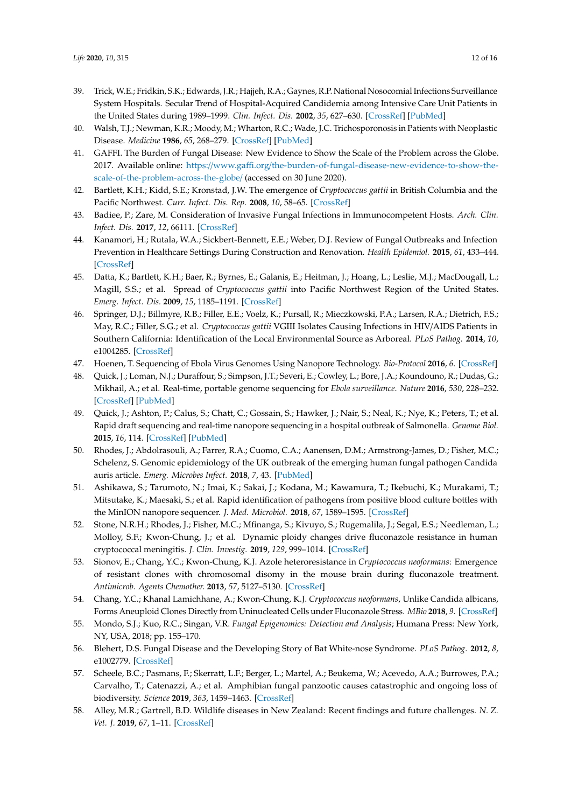- <span id="page-11-0"></span>39. Trick,W.E.; Fridkin, S.K.; Edwards, J.R.; Hajjeh, R.A.; Gaynes, R.P. National Nosocomial Infections Surveillance System Hospitals. Secular Trend of Hospital-Acquired Candidemia among Intensive Care Unit Patients in the United States during 1989–1999. *Clin. Infect. Dis.* **2002**, *35*, 627–630. [\[CrossRef\]](http://dx.doi.org/10.1086/342300) [\[PubMed\]](http://www.ncbi.nlm.nih.gov/pubmed/12173140)
- <span id="page-11-1"></span>40. Walsh, T.J.; Newman, K.R.; Moody, M.; Wharton, R.C.; Wade, J.C. Trichosporonosis in Patients with Neoplastic Disease. *Medicine* **1986**, *65*, 268–279. [\[CrossRef\]](http://dx.doi.org/10.1097/00005792-198607000-00005) [\[PubMed\]](http://www.ncbi.nlm.nih.gov/pubmed/3523114)
- <span id="page-11-2"></span>41. GAFFI. The Burden of Fungal Disease: New Evidence to Show the Scale of the Problem across the Globe. 2017. Available online: https://www.gaffi.org/[the-burden-of-fungal-disease-new-evidence-to-show-the](https://www.gaffi.org/the-burden-of-fungal-disease-new-evidence-to-show-the-scale-of-the-problem-across-the-globe/)[scale-of-the-problem-across-the-globe](https://www.gaffi.org/the-burden-of-fungal-disease-new-evidence-to-show-the-scale-of-the-problem-across-the-globe/)/ (accessed on 30 June 2020).
- <span id="page-11-3"></span>42. Bartlett, K.H.; Kidd, S.E.; Kronstad, J.W. The emergence of *Cryptococcus gattii* in British Columbia and the Pacific Northwest. *Curr. Infect. Dis. Rep.* **2008**, *10*, 58–65. [\[CrossRef\]](http://dx.doi.org/10.1007/s11908-008-0011-1)
- <span id="page-11-4"></span>43. Badiee, P.; Zare, M. Consideration of Invasive Fungal Infections in Immunocompetent Hosts. *Arch. Clin. Infect. Dis.* **2017**, *12*, 66111. [\[CrossRef\]](http://dx.doi.org/10.5812/archcid.66111)
- <span id="page-11-5"></span>44. Kanamori, H.; Rutala, W.A.; Sickbert-Bennett, E.E.; Weber, D.J. Review of Fungal Outbreaks and Infection Prevention in Healthcare Settings During Construction and Renovation. *Health Epidemiol.* **2015**, *61*, 433–444. [\[CrossRef\]](http://dx.doi.org/10.1093/cid/civ297)
- <span id="page-11-6"></span>45. Datta, K.; Bartlett, K.H.; Baer, R.; Byrnes, E.; Galanis, E.; Heitman, J.; Hoang, L.; Leslie, M.J.; MacDougall, L.; Magill, S.S.; et al. Spread of *Cryptococcus gattii* into Pacific Northwest Region of the United States. *Emerg. Infect. Dis.* **2009**, *15*, 1185–1191. [\[CrossRef\]](http://dx.doi.org/10.3201/eid1508.081384)
- <span id="page-11-7"></span>46. Springer, D.J.; Billmyre, R.B.; Filler, E.E.; Voelz, K.; Pursall, R.; Mieczkowski, P.A.; Larsen, R.A.; Dietrich, F.S.; May, R.C.; Filler, S.G.; et al. *Cryptococcus gattii* VGIII Isolates Causing Infections in HIV/AIDS Patients in Southern California: Identification of the Local Environmental Source as Arboreal. *PLoS Pathog.* **2014**, *10*, e1004285. [\[CrossRef\]](http://dx.doi.org/10.1371/journal.ppat.1004285)
- <span id="page-11-8"></span>47. Hoenen, T. Sequencing of Ebola Virus Genomes Using Nanopore Technology. *Bio-Protocol* **2016**, *6*. [\[CrossRef\]](http://dx.doi.org/10.21769/BioProtoc.1998)
- 48. Quick, J.; Loman, N.J.; Duraffour, S.; Simpson, J.T.; Severi, E.; Cowley, L.; Bore, J.A.; Koundouno, R.; Dudas, G.; Mikhail, A.; et al. Real-time, portable genome sequencing for *Ebola surveillance*. *Nature* **2016**, *530*, 228–232. [\[CrossRef\]](http://dx.doi.org/10.1038/nature16996) [\[PubMed\]](http://www.ncbi.nlm.nih.gov/pubmed/26840485)
- <span id="page-11-9"></span>49. Quick, J.; Ashton, P.; Calus, S.; Chatt, C.; Gossain, S.; Hawker, J.; Nair, S.; Neal, K.; Nye, K.; Peters, T.; et al. Rapid draft sequencing and real-time nanopore sequencing in a hospital outbreak of Salmonella. *Genome Biol.* **2015**, *16*, 114. [\[CrossRef\]](http://dx.doi.org/10.1186/s13059-015-0677-2) [\[PubMed\]](http://www.ncbi.nlm.nih.gov/pubmed/26025440)
- <span id="page-11-10"></span>50. Rhodes, J.; Abdolrasouli, A.; Farrer, R.A.; Cuomo, C.A.; Aanensen, D.M.; Armstrong-James, D.; Fisher, M.C.; Schelenz, S. Genomic epidemiology of the UK outbreak of the emerging human fungal pathogen Candida auris article. *Emerg. Microbes Infect.* **2018**, *7*, 43. [\[PubMed\]](http://www.ncbi.nlm.nih.gov/pubmed/29593275)
- <span id="page-11-11"></span>51. Ashikawa, S.; Tarumoto, N.; Imai, K.; Sakai, J.; Kodana, M.; Kawamura, T.; Ikebuchi, K.; Murakami, T.; Mitsutake, K.; Maesaki, S.; et al. Rapid identification of pathogens from positive blood culture bottles with the MinION nanopore sequencer. *J. Med. Microbiol.* **2018**, *67*, 1589–1595. [\[CrossRef\]](http://dx.doi.org/10.1099/jmm.0.000855)
- <span id="page-11-12"></span>52. Stone, N.R.H.; Rhodes, J.; Fisher, M.C.; Mfinanga, S.; Kivuyo, S.; Rugemalila, J.; Segal, E.S.; Needleman, L.; Molloy, S.F.; Kwon-Chung, J.; et al. Dynamic ploidy changes drive fluconazole resistance in human cryptococcal meningitis. *J. Clin. Investig.* **2019**, *129*, 999–1014. [\[CrossRef\]](http://dx.doi.org/10.1172/JCI124516)
- 53. Sionov, E.; Chang, Y.C.; Kwon-Chung, K.J. Azole heteroresistance in *Cryptococcus neoformans*: Emergence of resistant clones with chromosomal disomy in the mouse brain during fluconazole treatment. *Antimicrob. Agents Chemother.* **2013**, *57*, 5127–5130. [\[CrossRef\]](http://dx.doi.org/10.1128/AAC.00694-13)
- <span id="page-11-13"></span>54. Chang, Y.C.; Khanal Lamichhane, A.; Kwon-Chung, K.J. *Cryptococcus neoformans*, Unlike Candida albicans, Forms Aneuploid Clones Directly from Uninucleated Cells under Fluconazole Stress. *MBio* **2018**, *9*. [\[CrossRef\]](http://dx.doi.org/10.1128/mBio.01290-18)
- <span id="page-11-14"></span>55. Mondo, S.J.; Kuo, R.C.; Singan, V.R. *Fungal Epigenomics: Detection and Analysis*; Humana Press: New York, NY, USA, 2018; pp. 155–170.
- <span id="page-11-15"></span>56. Blehert, D.S. Fungal Disease and the Developing Story of Bat White-nose Syndrome. *PLoS Pathog.* **2012**, *8*, e1002779. [\[CrossRef\]](http://dx.doi.org/10.1371/journal.ppat.1002779)
- <span id="page-11-16"></span>57. Scheele, B.C.; Pasmans, F.; Skerratt, L.F.; Berger, L.; Martel, A.; Beukema, W.; Acevedo, A.A.; Burrowes, P.A.; Carvalho, T.; Catenazzi, A.; et al. Amphibian fungal panzootic causes catastrophic and ongoing loss of biodiversity. *Science* **2019**, *363*, 1459–1463. [\[CrossRef\]](http://dx.doi.org/10.1126/science.aav0379)
- <span id="page-11-17"></span>58. Alley, M.R.; Gartrell, B.D. Wildlife diseases in New Zealand: Recent findings and future challenges. *N. Z. Vet. J.* **2019**, *67*, 1–11. [\[CrossRef\]](http://dx.doi.org/10.1080/00480169.2018.1520656)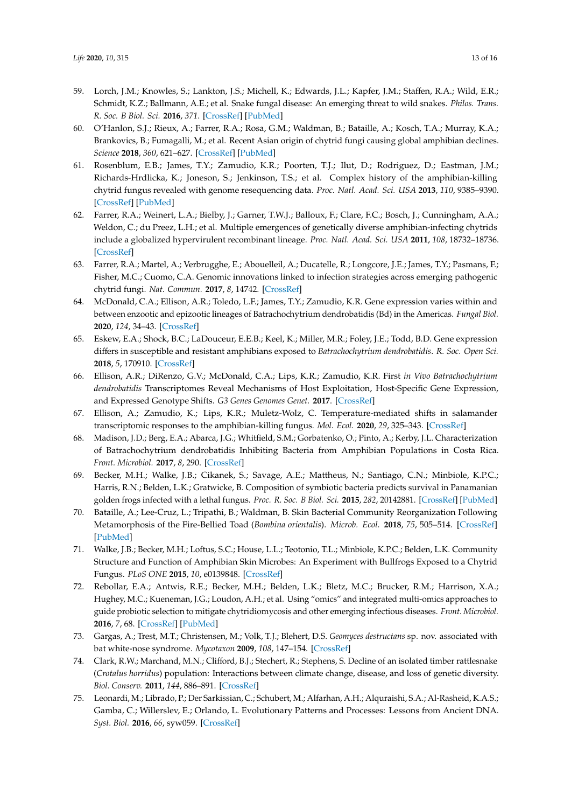- <span id="page-12-0"></span>59. Lorch, J.M.; Knowles, S.; Lankton, J.S.; Michell, K.; Edwards, J.L.; Kapfer, J.M.; Staffen, R.A.; Wild, E.R.; Schmidt, K.Z.; Ballmann, A.E.; et al. Snake fungal disease: An emerging threat to wild snakes. *Philos. Trans. R. Soc. B Biol. Sci.* **2016**, *371*. [\[CrossRef\]](http://dx.doi.org/10.1098/rstb.2015.0457) [\[PubMed\]](http://www.ncbi.nlm.nih.gov/pubmed/28080983)
- <span id="page-12-1"></span>60. O'Hanlon, S.J.; Rieux, A.; Farrer, R.A.; Rosa, G.M.; Waldman, B.; Bataille, A.; Kosch, T.A.; Murray, K.A.; Brankovics, B.; Fumagalli, M.; et al. Recent Asian origin of chytrid fungi causing global amphibian declines. *Science* **2018**, *360*, 621–627. [\[CrossRef\]](http://dx.doi.org/10.1126/science.aar1965) [\[PubMed\]](http://www.ncbi.nlm.nih.gov/pubmed/29748278)
- <span id="page-12-14"></span>61. Rosenblum, E.B.; James, T.Y.; Zamudio, K.R.; Poorten, T.J.; Ilut, D.; Rodriguez, D.; Eastman, J.M.; Richards-Hrdlicka, K.; Joneson, S.; Jenkinson, T.S.; et al. Complex history of the amphibian-killing chytrid fungus revealed with genome resequencing data. *Proc. Natl. Acad. Sci. USA* **2013**, *110*, 9385–9390. [\[CrossRef\]](http://dx.doi.org/10.1073/pnas.1300130110) [\[PubMed\]](http://www.ncbi.nlm.nih.gov/pubmed/23650365)
- <span id="page-12-2"></span>62. Farrer, R.A.; Weinert, L.A.; Bielby, J.; Garner, T.W.J.; Balloux, F.; Clare, F.C.; Bosch, J.; Cunningham, A.A.; Weldon, C.; du Preez, L.H.; et al. Multiple emergences of genetically diverse amphibian-infecting chytrids include a globalized hypervirulent recombinant lineage. *Proc. Natl. Acad. Sci. USA* **2011**, *108*, 18732–18736. [\[CrossRef\]](http://dx.doi.org/10.1073/pnas.1111915108)
- <span id="page-12-3"></span>63. Farrer, R.A.; Martel, A.; Verbrugghe, E.; Abouelleil, A.; Ducatelle, R.; Longcore, J.E.; James, T.Y.; Pasmans, F.; Fisher, M.C.; Cuomo, C.A. Genomic innovations linked to infection strategies across emerging pathogenic chytrid fungi. *Nat. Commun.* **2017**, *8*, 14742. [\[CrossRef\]](http://dx.doi.org/10.1038/ncomms14742)
- <span id="page-12-4"></span>64. McDonald, C.A.; Ellison, A.R.; Toledo, L.F.; James, T.Y.; Zamudio, K.R. Gene expression varies within and between enzootic and epizootic lineages of Batrachochytrium dendrobatidis (Bd) in the Americas. *Fungal Biol.* **2020**, *124*, 34–43. [\[CrossRef\]](http://dx.doi.org/10.1016/j.funbio.2019.10.008)
- <span id="page-12-5"></span>65. Eskew, E.A.; Shock, B.C.; LaDouceur, E.E.B.; Keel, K.; Miller, M.R.; Foley, J.E.; Todd, B.D. Gene expression differs in susceptible and resistant amphibians exposed to *Batrachochytrium dendrobatidis*. *R. Soc. Open Sci.* **2018**, *5*, 170910. [\[CrossRef\]](http://dx.doi.org/10.1098/rsos.170910)
- <span id="page-12-6"></span>66. Ellison, A.R.; DiRenzo, G.V.; McDonald, C.A.; Lips, K.R.; Zamudio, K.R. First *in Vivo Batrachochytrium dendrobatidis* Transcriptomes Reveal Mechanisms of Host Exploitation, Host-Specific Gene Expression, and Expressed Genotype Shifts. *G3 Genes Genomes Genet.* **2017**. [\[CrossRef\]](http://dx.doi.org/10.1534/g3.116.035873)
- <span id="page-12-7"></span>67. Ellison, A.; Zamudio, K.; Lips, K.R.; Muletz-Wolz, C. Temperature-mediated shifts in salamander transcriptomic responses to the amphibian-killing fungus. *Mol. Ecol.* **2020**, *29*, 325–343. [\[CrossRef\]](http://dx.doi.org/10.1111/mec.15327)
- <span id="page-12-8"></span>68. Madison, J.D.; Berg, E.A.; Abarca, J.G.; Whitfield, S.M.; Gorbatenko, O.; Pinto, A.; Kerby, J.L. Characterization of Batrachochytrium dendrobatidis Inhibiting Bacteria from Amphibian Populations in Costa Rica. *Front. Microbiol.* **2017**, *8*, 290. [\[CrossRef\]](http://dx.doi.org/10.3389/fmicb.2017.00290)
- 69. Becker, M.H.; Walke, J.B.; Cikanek, S.; Savage, A.E.; Mattheus, N.; Santiago, C.N.; Minbiole, K.P.C.; Harris, R.N.; Belden, L.K.; Gratwicke, B. Composition of symbiotic bacteria predicts survival in Panamanian golden frogs infected with a lethal fungus. *Proc. R. Soc. B Biol. Sci.* **2015**, *282*, 20142881. [\[CrossRef\]](http://dx.doi.org/10.1098/rspb.2014.2881) [\[PubMed\]](http://www.ncbi.nlm.nih.gov/pubmed/25788591)
- 70. Bataille, A.; Lee-Cruz, L.; Tripathi, B.; Waldman, B. Skin Bacterial Community Reorganization Following Metamorphosis of the Fire-Bellied Toad (*Bombina orientalis*). *Microb. Ecol.* **2018**, *75*, 505–514. [\[CrossRef\]](http://dx.doi.org/10.1007/s00248-017-1034-7) [\[PubMed\]](http://www.ncbi.nlm.nih.gov/pubmed/28725944)
- <span id="page-12-9"></span>71. Walke, J.B.; Becker, M.H.; Loftus, S.C.; House, L.L.; Teotonio, T.L.; Minbiole, K.P.C.; Belden, L.K. Community Structure and Function of Amphibian Skin Microbes: An Experiment with Bullfrogs Exposed to a Chytrid Fungus. *PLoS ONE* **2015**, *10*, e0139848. [\[CrossRef\]](http://dx.doi.org/10.1371/journal.pone.0139848)
- <span id="page-12-10"></span>72. Rebollar, E.A.; Antwis, R.E.; Becker, M.H.; Belden, L.K.; Bletz, M.C.; Brucker, R.M.; Harrison, X.A.; Hughey, M.C.; Kueneman, J.G.; Loudon, A.H.; et al. Using "omics" and integrated multi-omics approaches to guide probiotic selection to mitigate chytridiomycosis and other emerging infectious diseases. *Front. Microbiol.* **2016**, *7*, 68. [\[CrossRef\]](http://dx.doi.org/10.3389/fmicb.2016.00068) [\[PubMed\]](http://www.ncbi.nlm.nih.gov/pubmed/26870025)
- <span id="page-12-11"></span>73. Gargas, A.; Trest, M.T.; Christensen, M.; Volk, T.J.; Blehert, D.S. *Geomyces destructans* sp. nov. associated with bat white-nose syndrome. *Mycotaxon* **2009**, *108*, 147–154. [\[CrossRef\]](http://dx.doi.org/10.5248/108.147)
- <span id="page-12-12"></span>74. Clark, R.W.; Marchand, M.N.; Clifford, B.J.; Stechert, R.; Stephens, S. Decline of an isolated timber rattlesnake (*Crotalus horridus*) population: Interactions between climate change, disease, and loss of genetic diversity. *Biol. Conserv.* **2011**, *144*, 886–891. [\[CrossRef\]](http://dx.doi.org/10.1016/j.biocon.2010.12.001)
- <span id="page-12-13"></span>75. Leonardi, M.; Librado, P.; Der Sarkissian, C.; Schubert, M.; Alfarhan, A.H.; Alquraishi, S.A.; Al-Rasheid, K.A.S.; Gamba, C.; Willerslev, E.; Orlando, L. Evolutionary Patterns and Processes: Lessons from Ancient DNA. *Syst. Biol.* **2016**, *66*, syw059. [\[CrossRef\]](http://dx.doi.org/10.1093/sysbio/syw059)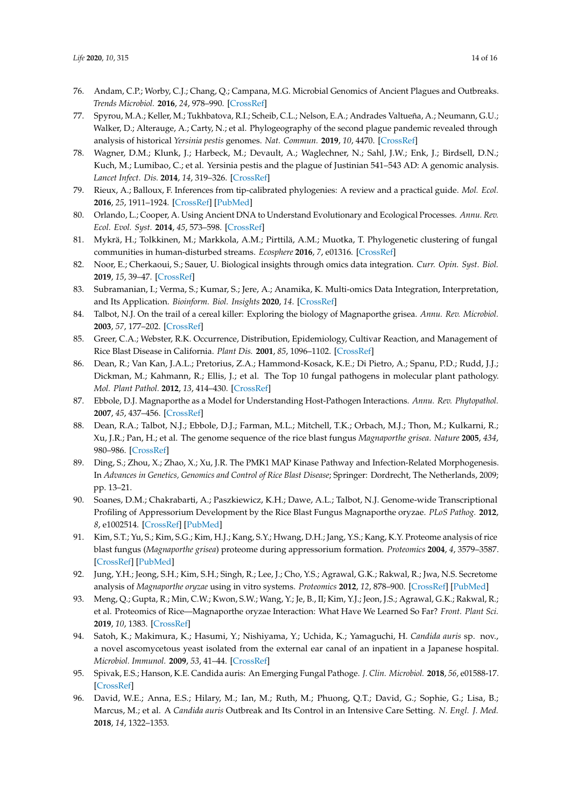- <span id="page-13-0"></span>76. Andam, C.P.; Worby, C.J.; Chang, Q.; Campana, M.G. Microbial Genomics of Ancient Plagues and Outbreaks. *Trends Microbiol.* **2016**, *24*, 978–990. [\[CrossRef\]](http://dx.doi.org/10.1016/j.tim.2016.08.004)
- <span id="page-13-1"></span>77. Spyrou, M.A.; Keller, M.; Tukhbatova, R.I.; Scheib, C.L.; Nelson, E.A.; Andrades Valtueña, A.; Neumann, G.U.; Walker, D.; Alterauge, A.; Carty, N.; et al. Phylogeography of the second plague pandemic revealed through analysis of historical *Yersinia pestis* genomes. *Nat. Commun.* **2019**, *10*, 4470. [\[CrossRef\]](http://dx.doi.org/10.1038/s41467-019-12154-0)
- <span id="page-13-2"></span>78. Wagner, D.M.; Klunk, J.; Harbeck, M.; Devault, A.; Waglechner, N.; Sahl, J.W.; Enk, J.; Birdsell, D.N.; Kuch, M.; Lumibao, C.; et al. Yersinia pestis and the plague of Justinian 541–543 AD: A genomic analysis. *Lancet Infect. Dis.* **2014**, *14*, 319–326. [\[CrossRef\]](http://dx.doi.org/10.1016/S1473-3099(13)70323-2)
- <span id="page-13-3"></span>79. Rieux, A.; Balloux, F. Inferences from tip-calibrated phylogenies: A review and a practical guide. *Mol. Ecol.* **2016**, *25*, 1911–1924. [\[CrossRef\]](http://dx.doi.org/10.1111/mec.13586) [\[PubMed\]](http://www.ncbi.nlm.nih.gov/pubmed/26880113)
- <span id="page-13-4"></span>80. Orlando, L.; Cooper, A. Using Ancient DNA to Understand Evolutionary and Ecological Processes. *Annu. Rev. Ecol. Evol. Syst.* **2014**, *45*, 573–598. [\[CrossRef\]](http://dx.doi.org/10.1146/annurev-ecolsys-120213-091712)
- <span id="page-13-5"></span>81. Mykrä, H.; Tolkkinen, M.; Markkola, A.M.; Pirttilä, A.M.; Muotka, T. Phylogenetic clustering of fungal communities in human-disturbed streams. *Ecosphere* **2016**, *7*, e01316. [\[CrossRef\]](http://dx.doi.org/10.1002/ecs2.1316)
- <span id="page-13-6"></span>82. Noor, E.; Cherkaoui, S.; Sauer, U. Biological insights through omics data integration. *Curr. Opin. Syst. Biol.* **2019**, *15*, 39–47. [\[CrossRef\]](http://dx.doi.org/10.1016/j.coisb.2019.03.007)
- <span id="page-13-7"></span>83. Subramanian, I.; Verma, S.; Kumar, S.; Jere, A.; Anamika, K. Multi-omics Data Integration, Interpretation, and Its Application. *Bioinform. Biol. Insights* **2020**, *14*. [\[CrossRef\]](http://dx.doi.org/10.1177/1177932219899051)
- <span id="page-13-8"></span>84. Talbot, N.J. On the trail of a cereal killer: Exploring the biology of Magnaporthe grisea. *Annu. Rev. Microbiol.* **2003**, *57*, 177–202. [\[CrossRef\]](http://dx.doi.org/10.1146/annurev.micro.57.030502.090957)
- <span id="page-13-9"></span>85. Greer, C.A.; Webster, R.K. Occurrence, Distribution, Epidemiology, Cultivar Reaction, and Management of Rice Blast Disease in California. *Plant Dis.* **2001**, *85*, 1096–1102. [\[CrossRef\]](http://dx.doi.org/10.1094/PDIS.2001.85.10.1096)
- <span id="page-13-10"></span>86. Dean, R.; Van Kan, J.A.L.; Pretorius, Z.A.; Hammond-Kosack, K.E.; Di Pietro, A.; Spanu, P.D.; Rudd, J.J.; Dickman, M.; Kahmann, R.; Ellis, J.; et al. The Top 10 fungal pathogens in molecular plant pathology. *Mol. Plant Pathol.* **2012**, *13*, 414–430. [\[CrossRef\]](http://dx.doi.org/10.1111/j.1364-3703.2011.00783.x)
- <span id="page-13-11"></span>87. Ebbole, D.J. Magnaporthe as a Model for Understanding Host-Pathogen Interactions. *Annu. Rev. Phytopathol.* **2007**, *45*, 437–456. [\[CrossRef\]](http://dx.doi.org/10.1146/annurev.phyto.45.062806.094346)
- <span id="page-13-12"></span>88. Dean, R.A.; Talbot, N.J.; Ebbole, D.J.; Farman, M.L.; Mitchell, T.K.; Orbach, M.J.; Thon, M.; Kulkarni, R.; Xu, J.R.; Pan, H.; et al. The genome sequence of the rice blast fungus *Magnaporthe grisea*. *Nature* **2005**, *434*, 980–986. [\[CrossRef\]](http://dx.doi.org/10.1038/nature03449)
- <span id="page-13-13"></span>89. Ding, S.; Zhou, X.; Zhao, X.; Xu, J.R. The PMK1 MAP Kinase Pathway and Infection-Related Morphogenesis. In *Advances in Genetics, Genomics and Control of Rice Blast Disease*; Springer: Dordrecht, The Netherlands, 2009; pp. 13–21.
- <span id="page-13-14"></span>90. Soanes, D.M.; Chakrabarti, A.; Paszkiewicz, K.H.; Dawe, A.L.; Talbot, N.J. Genome-wide Transcriptional Profiling of Appressorium Development by the Rice Blast Fungus Magnaporthe oryzae. *PLoS Pathog.* **2012**, *8*, e1002514. [\[CrossRef\]](http://dx.doi.org/10.1371/journal.ppat.1002514) [\[PubMed\]](http://www.ncbi.nlm.nih.gov/pubmed/22346750)
- <span id="page-13-15"></span>91. Kim, S.T.; Yu, S.; Kim, S.G.; Kim, H.J.; Kang, S.Y.; Hwang, D.H.; Jang, Y.S.; Kang, K.Y. Proteome analysis of rice blast fungus (*Magnaporthe grisea*) proteome during appressorium formation. *Proteomics* **2004**, *4*, 3579–3587. [\[CrossRef\]](http://dx.doi.org/10.1002/pmic.200400969) [\[PubMed\]](http://www.ncbi.nlm.nih.gov/pubmed/15378734)
- 92. Jung, Y.H.; Jeong, S.H.; Kim, S.H.; Singh, R.; Lee, J.; Cho, Y.S.; Agrawal, G.K.; Rakwal, R.; Jwa, N.S. Secretome analysis of *Magnaporthe oryzae* using in vitro systems. *Proteomics* **2012**, *12*, 878–900. [\[CrossRef\]](http://dx.doi.org/10.1002/pmic.201100142) [\[PubMed\]](http://www.ncbi.nlm.nih.gov/pubmed/22539438)
- <span id="page-13-16"></span>93. Meng, Q.; Gupta, R.; Min, C.W.; Kwon, S.W.; Wang, Y.; Je, B., II; Kim, Y.J.; Jeon, J.S.; Agrawal, G.K.; Rakwal, R.; et al. Proteomics of Rice—Magnaporthe oryzae Interaction: What Have We Learned So Far? *Front. Plant Sci.* **2019**, *10*, 1383. [\[CrossRef\]](http://dx.doi.org/10.3389/fpls.2019.01383)
- <span id="page-13-17"></span>94. Satoh, K.; Makimura, K.; Hasumi, Y.; Nishiyama, Y.; Uchida, K.; Yamaguchi, H. *Candida auris* sp. nov., a novel ascomycetous yeast isolated from the external ear canal of an inpatient in a Japanese hospital. *Microbiol. Immunol.* **2009**, *53*, 41–44. [\[CrossRef\]](http://dx.doi.org/10.1111/j.1348-0421.2008.00083.x)
- <span id="page-13-18"></span>95. Spivak, E.S.; Hanson, K.E. Candida auris: An Emerging Fungal Pathoge. *J. Clin. Microbiol.* **2018**, *56*, e01588-17. [\[CrossRef\]](http://dx.doi.org/10.1128/JCM.01588-17)
- <span id="page-13-19"></span>96. David, W.E.; Anna, E.S.; Hilary, M.; Ian, M.; Ruth, M.; Phuong, Q.T.; David, G.; Sophie, G.; Lisa, B.; Marcus, M.; et al. A *Candida auris* Outbreak and Its Control in an Intensive Care Setting. *N. Engl. J. Med.* **2018**, *14*, 1322–1353.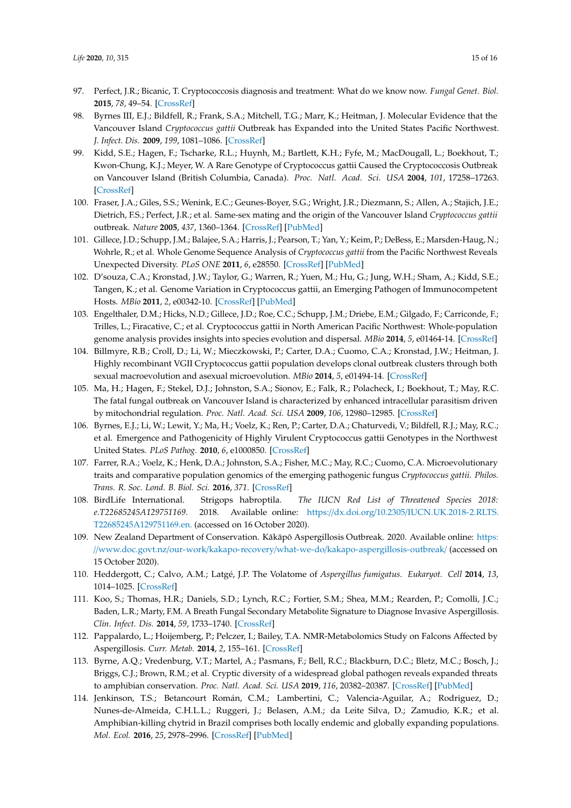- <span id="page-14-0"></span>97. Perfect, J.R.; Bicanic, T. Cryptococcosis diagnosis and treatment: What do we know now. *Fungal Genet. Biol.* **2015**, *78*, 49–54. [\[CrossRef\]](http://dx.doi.org/10.1016/j.fgb.2014.10.003)
- <span id="page-14-1"></span>98. Byrnes III, E.J.; Bildfell, R.; Frank, S.A.; Mitchell, T.G.; Marr, K.; Heitman, J. Molecular Evidence that the Vancouver Island *Cryptococcus gattii* Outbreak has Expanded into the United States Pacific Northwest. *J. Infect. Dis.* **2009**, *199*, 1081–1086. [\[CrossRef\]](http://dx.doi.org/10.1086/597306)
- <span id="page-14-2"></span>99. Kidd, S.E.; Hagen, F.; Tscharke, R.L.; Huynh, M.; Bartlett, K.H.; Fyfe, M.; MacDougall, L.; Boekhout, T.; Kwon-Chung, K.J.; Meyer, W. A Rare Genotype of Cryptococcus gattii Caused the Cryptococcosis Outbreak on Vancouver Island (British Columbia, Canada). *Proc. Natl. Acad. Sci. USA* **2004**, *101*, 17258–17263. [\[CrossRef\]](http://dx.doi.org/10.1073/pnas.0402981101)
- <span id="page-14-3"></span>100. Fraser, J.A.; Giles, S.S.; Wenink, E.C.; Geunes-Boyer, S.G.; Wright, J.R.; Diezmann, S.; Allen, A.; Stajich, J.E.; Dietrich, F.S.; Perfect, J.R.; et al. Same-sex mating and the origin of the Vancouver Island *Cryptococcus gattii* outbreak. *Nature* **2005**, *437*, 1360–1364. [\[CrossRef\]](http://dx.doi.org/10.1038/nature04220) [\[PubMed\]](http://www.ncbi.nlm.nih.gov/pubmed/16222245)
- <span id="page-14-4"></span>101. Gillece, J.D.; Schupp, J.M.; Balajee, S.A.; Harris, J.; Pearson, T.; Yan, Y.; Keim, P.; DeBess, E.; Marsden-Haug, N.; Wohrle, R.; et al. Whole Genome Sequence Analysis of *Cryptococcus gattii* from the Pacific Northwest Reveals Unexpected Diversity. *PLoS ONE* **2011**, *6*, e28550. [\[CrossRef\]](http://dx.doi.org/10.1371/journal.pone.0028550) [\[PubMed\]](http://www.ncbi.nlm.nih.gov/pubmed/22163313)
- <span id="page-14-5"></span>102. D'souza, C.A.; Kronstad, J.W.; Taylor, G.; Warren, R.; Yuen, M.; Hu, G.; Jung, W.H.; Sham, A.; Kidd, S.E.; Tangen, K.; et al. Genome Variation in Cryptococcus gattii, an Emerging Pathogen of Immunocompetent Hosts. *MBio* **2011**, *2*, e00342-10. [\[CrossRef\]](http://dx.doi.org/10.1128/mBio.00342-10) [\[PubMed\]](http://www.ncbi.nlm.nih.gov/pubmed/21304167)
- <span id="page-14-6"></span>103. Engelthaler, D.M.; Hicks, N.D.; Gillece, J.D.; Roe, C.C.; Schupp, J.M.; Driebe, E.M.; Gilgado, F.; Carriconde, F.; Trilles, L.; Firacative, C.; et al. Cryptococcus gattii in North American Pacific Northwest: Whole-population genome analysis provides insights into species evolution and dispersal. *MBio* **2014**, *5*, e01464-14. [\[CrossRef\]](http://dx.doi.org/10.1128/mBio.01464-14)
- <span id="page-14-7"></span>104. Billmyre, R.B.; Croll, D.; Li, W.; Mieczkowski, P.; Carter, D.A.; Cuomo, C.A.; Kronstad, J.W.; Heitman, J. Highly recombinant VGII Cryptococcus gattii population develops clonal outbreak clusters through both sexual macroevolution and asexual microevolution. *MBio* **2014**, *5*, e01494-14. [\[CrossRef\]](http://dx.doi.org/10.1128/mBio.01494-14)
- <span id="page-14-8"></span>105. Ma, H.; Hagen, F.; Stekel, D.J.; Johnston, S.A.; Sionov, E.; Falk, R.; Polacheck, I.; Boekhout, T.; May, R.C. The fatal fungal outbreak on Vancouver Island is characterized by enhanced intracellular parasitism driven by mitochondrial regulation. *Proc. Natl. Acad. Sci. USA* **2009**, *106*, 12980–12985. [\[CrossRef\]](http://dx.doi.org/10.1073/pnas.0902963106)
- <span id="page-14-9"></span>106. Byrnes, E.J.; Li, W.; Lewit, Y.; Ma, H.; Voelz, K.; Ren, P.; Carter, D.A.; Chaturvedi, V.; Bildfell, R.J.; May, R.C.; et al. Emergence and Pathogenicity of Highly Virulent Cryptococcus gattii Genotypes in the Northwest United States. *PLoS Pathog.* **2010**, *6*, e1000850. [\[CrossRef\]](http://dx.doi.org/10.1371/journal.ppat.1000850)
- <span id="page-14-10"></span>107. Farrer, R.A.; Voelz, K.; Henk, D.A.; Johnston, S.A.; Fisher, M.C.; May, R.C.; Cuomo, C.A. Microevolutionary traits and comparative population genomics of the emerging pathogenic fungus *Cryptococcus gattii*. *Philos. Trans. R. Soc. Lond. B. Biol. Sci.* **2016**, *371*. [\[CrossRef\]](http://dx.doi.org/10.1098/rstb.2016.0021)
- <span id="page-14-11"></span>108. BirdLife International. Strigops habroptila. *The IUCN Red List of Threatened Species 2018: e.T22685245A129751169.* 2018. Available online: https://dx.doi.org/10.2305/[IUCN.UK.2018-2.RLTS.](https://dx.doi.org/10.2305/IUCN.UK.2018-2.RLTS.T22685245A129751169.en.) [T22685245A129751169.en.](https://dx.doi.org/10.2305/IUCN.UK.2018-2.RLTS.T22685245A129751169.en.) (accessed on 16 October 2020).
- <span id="page-14-12"></span>109. New Zealand Department of Conservation. Kākāpō Aspergillosis Outbreak. 2020. Available online: [https:](https://www.doc.govt.nz/our-work/kakapo-recovery/what-we-do/kakapo-aspergillosis-outbreak/) //www.doc.govt.nz/our-work/kakapo-recovery/what-we-do/[kakapo-aspergillosis-outbreak](https://www.doc.govt.nz/our-work/kakapo-recovery/what-we-do/kakapo-aspergillosis-outbreak/)/ (accessed on 15 October 2020).
- <span id="page-14-13"></span>110. Heddergott, C.; Calvo, A.M.; Latgé, J.P. The Volatome of *Aspergillus fumigatus*. *Eukaryot. Cell* **2014**, *13*, 1014–1025. [\[CrossRef\]](http://dx.doi.org/10.1128/EC.00074-14)
- <span id="page-14-14"></span>111. Koo, S.; Thomas, H.R.; Daniels, S.D.; Lynch, R.C.; Fortier, S.M.; Shea, M.M.; Rearden, P.; Comolli, J.C.; Baden, L.R.; Marty, F.M. A Breath Fungal Secondary Metabolite Signature to Diagnose Invasive Aspergillosis. *Clin. Infect. Dis.* **2014**, *59*, 1733–1740. [\[CrossRef\]](http://dx.doi.org/10.1093/cid/ciu725)
- <span id="page-14-15"></span>112. Pappalardo, L.; Hoijemberg, P.; Pelczer, I.; Bailey, T.A. NMR-Metabolomics Study on Falcons Affected by Aspergillosis. *Curr. Metab.* **2014**, *2*, 155–161. [\[CrossRef\]](http://dx.doi.org/10.2174/2213235X02666140905232309)
- <span id="page-14-16"></span>113. Byrne, A.Q.; Vredenburg, V.T.; Martel, A.; Pasmans, F.; Bell, R.C.; Blackburn, D.C.; Bletz, M.C.; Bosch, J.; Briggs, C.J.; Brown, R.M.; et al. Cryptic diversity of a widespread global pathogen reveals expanded threats to amphibian conservation. *Proc. Natl. Acad. Sci. USA* **2019**, *116*, 20382–20387. [\[CrossRef\]](http://dx.doi.org/10.1073/pnas.1908289116) [\[PubMed\]](http://www.ncbi.nlm.nih.gov/pubmed/31548391)
- <span id="page-14-17"></span>114. Jenkinson, T.S.; Betancourt Román, C.M.; Lambertini, C.; Valencia-Aguilar, A.; Rodriguez, D.; Nunes-de-Almeida, C.H.L.L.; Ruggeri, J.; Belasen, A.M.; da Leite Silva, D.; Zamudio, K.R.; et al. Amphibian-killing chytrid in Brazil comprises both locally endemic and globally expanding populations. *Mol. Ecol.* **2016**, *25*, 2978–2996. [\[CrossRef\]](http://dx.doi.org/10.1111/mec.13599) [\[PubMed\]](http://www.ncbi.nlm.nih.gov/pubmed/26939017)